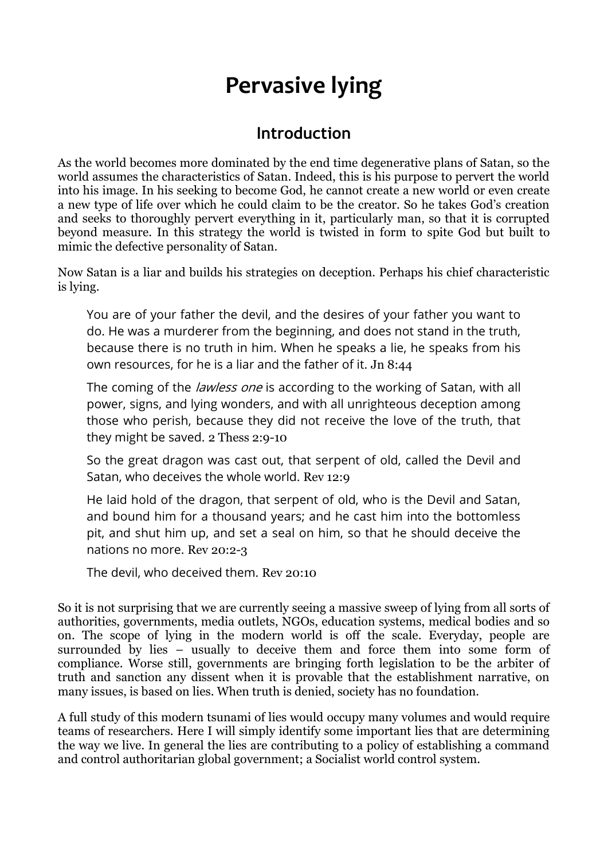# **Pervasive lying**

# **Introduction**

As the world becomes more dominated by the end time degenerative plans of Satan, so the world assumes the characteristics of Satan. Indeed, this is his purpose to pervert the world into his image. In his seeking to become God, he cannot create a new world or even create a new type of life over which he could claim to be the creator. So he takes God's creation and seeks to thoroughly pervert everything in it, particularly man, so that it is corrupted beyond measure. In this strategy the world is twisted in form to spite God but built to mimic the defective personality of Satan.

Now Satan is a liar and builds his strategies on deception. Perhaps his chief characteristic is lying.

You are of your father the devil, and the desires of your father you want to do. He was a murderer from the beginning, and does not stand in the truth, because there is no truth in him. When he speaks a lie, he speaks from his own resources, for he is a liar and the father of it. Jn 8:44

The coming of the *lawless one* is according to the working of Satan, with all power, signs, and lying wonders, and with all unrighteous deception among those who perish, because they did not receive the love of the truth, that they might be saved. 2 Thess 2:9-10

So the great dragon was cast out, that serpent of old, called the Devil and Satan, who deceives the whole world. Rev 12:9

He laid hold of the dragon, that serpent of old, who is the Devil and Satan, and bound him for a thousand years; and he cast him into the bottomless pit, and shut him up, and set a seal on him, so that he should deceive the nations no more. Rev 20:2-3

The devil, who deceived them. Rev 20:10

So it is not surprising that we are currently seeing a massive sweep of lying from all sorts of authorities, governments, media outlets, NGOs, education systems, medical bodies and so on. The scope of lying in the modern world is off the scale. Everyday, people are surrounded by lies – usually to deceive them and force them into some form of compliance. Worse still, governments are bringing forth legislation to be the arbiter of truth and sanction any dissent when it is provable that the establishment narrative, on many issues, is based on lies. When truth is denied, society has no foundation.

A full study of this modern tsunami of lies would occupy many volumes and would require teams of researchers. Here I will simply identify some important lies that are determining the way we live. In general the lies are contributing to a policy of establishing a command and control authoritarian global government; a Socialist world control system.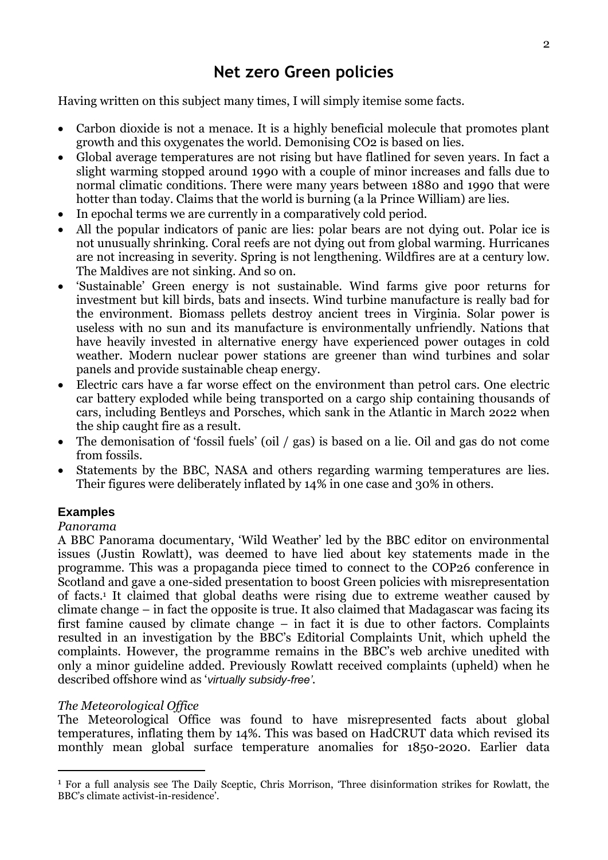Having written on this subject many times, I will simply itemise some facts.

- Carbon dioxide is not a menace. It is a highly beneficial molecule that promotes plant growth and this oxygenates the world. Demonising CO2 is based on lies.
- Global average temperatures are not rising but have flatlined for seven years. In fact a slight warming stopped around 1990 with a couple of minor increases and falls due to normal climatic conditions. There were many years between 1880 and 1990 that were hotter than today. Claims that the world is burning (a la Prince William) are lies.
- In epochal terms we are currently in a comparatively cold period.
- All the popular indicators of panic are lies: polar bears are not dying out. Polar ice is not unusually shrinking. Coral reefs are not dying out from global warming. Hurricanes are not increasing in severity. Spring is not lengthening. Wildfires are at a century low. The Maldives are not sinking. And so on.
- 'Sustainable' Green energy is not sustainable. Wind farms give poor returns for investment but kill birds, bats and insects. Wind turbine manufacture is really bad for the environment. Biomass pellets destroy ancient trees in Virginia. Solar power is useless with no sun and its manufacture is environmentally unfriendly. Nations that have heavily invested in alternative energy have experienced power outages in cold weather. Modern nuclear power stations are greener than wind turbines and solar panels and provide sustainable cheap energy.
- Electric cars have a far worse effect on the environment than petrol cars. One electric car battery exploded while being transported on a cargo ship containing thousands of cars, including Bentleys and Porsches, which sank in the Atlantic in March 2022 when the ship caught fire as a result.
- The demonisation of 'fossil fuels' (oil / gas) is based on a lie. Oil and gas do not come from fossils.
- Statements by the BBC, NASA and others regarding warming temperatures are lies. Their figures were deliberately inflated by 14% in one case and 30% in others.

#### **Examples**

#### *Panorama*

-

A BBC Panorama documentary, 'Wild Weather' led by the BBC editor on environmental issues (Justin Rowlatt), was deemed to have lied about key statements made in the programme. This was a propaganda piece timed to connect to the COP26 conference in Scotland and gave a one-sided presentation to boost Green policies with misrepresentation of facts.<sup>1</sup> It claimed that global deaths were rising due to extreme weather caused by climate change – in fact the opposite is true. It also claimed that Madagascar was facing its first famine caused by climate change – in fact it is due to other factors. Complaints resulted in an investigation by the BBC's Editorial Complaints Unit, which upheld the complaints. However, the programme remains in the BBC's web archive unedited with only a minor guideline added. Previously Rowlatt received complaints (upheld) when he described offshore wind as '*virtually subsidy-free'*.

#### *The Meteorological Office*

The Meteorological Office was found to have misrepresented facts about global temperatures, inflating them by 14%. This was based on HadCRUT data which revised its monthly mean global surface temperature anomalies for 1850-2020. Earlier data

<sup>1</sup> For a full analysis see The Daily Sceptic, Chris Morrison, 'Three disinformation strikes for Rowlatt, the BBC's climate activist-in-residence'.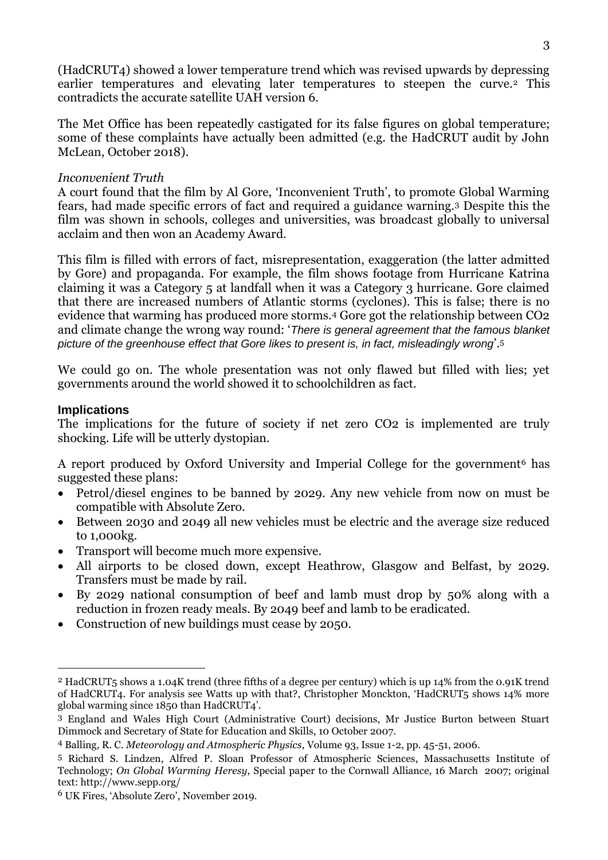(HadCRUT4) showed a lower temperature trend which was revised upwards by depressing earlier temperatures and elevating later temperatures to steepen the curve.<sup>2</sup> This contradicts the accurate satellite UAH version 6.

The Met Office has been repeatedly castigated for its false figures on global temperature; some of these complaints have actually been admitted (e.g. the HadCRUT audit by John McLean, October 2018).

#### *Inconvenient Truth*

A court found that the film by Al Gore, 'Inconvenient Truth', to promote Global Warming fears, had made specific errors of fact and required a guidance warning.<sup>3</sup> Despite this the film was shown in schools, colleges and universities, was broadcast globally to universal acclaim and then won an Academy Award.

This film is filled with errors of fact, misrepresentation, exaggeration (the latter admitted by Gore) and propaganda. For example, the film shows footage from Hurricane Katrina claiming it was a Category 5 at landfall when it was a Category 3 hurricane. Gore claimed that there are increased numbers of Atlantic storms (cyclones). This is false; there is no evidence that warming has produced more storms.<sup>4</sup> Gore got the relationship between CO2 and climate change the wrong way round: '*There is general agreement that the famous blanket picture of the greenhouse effect that Gore likes to present is, in fact, misleadingly wrong*'.<sup>5</sup>

We could go on. The whole presentation was not only flawed but filled with lies; yet governments around the world showed it to schoolchildren as fact.

#### **Implications**

<u>.</u>

The implications for the future of society if net zero CO2 is implemented are truly shocking. Life will be utterly dystopian.

A report produced by Oxford University and Imperial College for the government<sup>6</sup> has suggested these plans:

- Petrol/diesel engines to be banned by 2029. Any new vehicle from now on must be compatible with Absolute Zero.
- Between 2030 and 2049 all new vehicles must be electric and the average size reduced to 1,000kg.
- Transport will become much more expensive.
- All airports to be closed down, except Heathrow, Glasgow and Belfast, by 2029. Transfers must be made by rail.
- By 2029 national consumption of beef and lamb must drop by 50% along with a reduction in frozen ready meals. By 2049 beef and lamb to be eradicated.
- Construction of new buildings must cease by 2050.

<sup>2</sup> HadCRUT5 shows a 1.04K trend (three fifths of a degree per century) which is up 14% from the 0.91K trend of HadCRUT4. For analysis see Watts up with that?, Christopher Monckton, 'HadCRUT5 shows 14% more global warming since 1850 than HadCRUT4'.

<sup>3</sup> England and Wales High Court (Administrative Court) decisions, Mr Justice Burton between Stuart Dimmock and Secretary of State for Education and Skills, 10 October 2007.

<sup>4</sup> Balling, R. C. *Meteorology and Atmospheric Physics*, Volume 93, Issue 1-2, pp. 45-51, 2006.

<sup>5</sup> Richard S. Lindzen, Alfred P. Sloan Professor of Atmospheric Sciences, Massachusetts Institute of Technology; *On Global Warming Heresy*, Special paper to the Cornwall Alliance, 16 March 2007; original text: http://www.sepp.org/

<sup>6</sup> UK Fires, 'Absolute Zero', November 2019.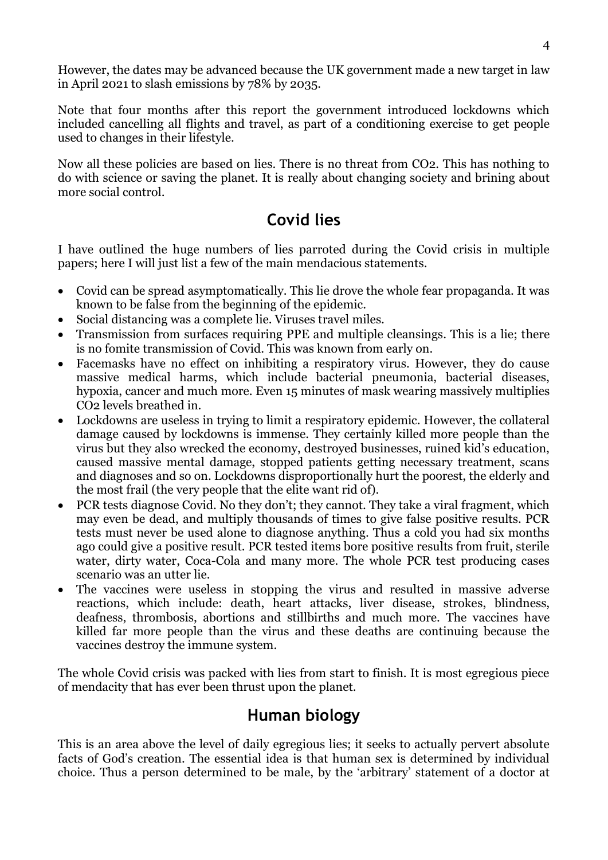However, the dates may be advanced because the UK government made a new target in law in April 2021 to slash emissions by 78% by 2035.

Note that four months after this report the government introduced lockdowns which included cancelling all flights and travel, as part of a conditioning exercise to get people used to changes in their lifestyle.

Now all these policies are based on lies. There is no threat from CO2. This has nothing to do with science or saving the planet. It is really about changing society and brining about more social control.

# **Covid lies**

I have outlined the huge numbers of lies parroted during the Covid crisis in multiple papers; here I will just list a few of the main mendacious statements.

- Covid can be spread asymptomatically. This lie drove the whole fear propaganda. It was known to be false from the beginning of the epidemic.
- Social distancing was a complete lie. Viruses travel miles.
- Transmission from surfaces requiring PPE and multiple cleansings. This is a lie: there is no fomite transmission of Covid. This was known from early on.
- Facemasks have no effect on inhibiting a respiratory virus. However, they do cause massive medical harms, which include bacterial pneumonia, bacterial diseases, hypoxia, cancer and much more. Even 15 minutes of mask wearing massively multiplies CO2 levels breathed in.
- Lockdowns are useless in trying to limit a respiratory epidemic. However, the collateral damage caused by lockdowns is immense. They certainly killed more people than the virus but they also wrecked the economy, destroyed businesses, ruined kid's education, caused massive mental damage, stopped patients getting necessary treatment, scans and diagnoses and so on. Lockdowns disproportionally hurt the poorest, the elderly and the most frail (the very people that the elite want rid of).
- PCR tests diagnose Covid. No they don't; they cannot. They take a viral fragment, which may even be dead, and multiply thousands of times to give false positive results. PCR tests must never be used alone to diagnose anything. Thus a cold you had six months ago could give a positive result. PCR tested items bore positive results from fruit, sterile water, dirty water, Coca-Cola and many more. The whole PCR test producing cases scenario was an utter lie.
- The vaccines were useless in stopping the virus and resulted in massive adverse reactions, which include: death, heart attacks, liver disease, strokes, blindness, deafness, thrombosis, abortions and stillbirths and much more. The vaccines have killed far more people than the virus and these deaths are continuing because the vaccines destroy the immune system.

The whole Covid crisis was packed with lies from start to finish. It is most egregious piece of mendacity that has ever been thrust upon the planet.

# **Human biology**

This is an area above the level of daily egregious lies; it seeks to actually pervert absolute facts of God's creation. The essential idea is that human sex is determined by individual choice. Thus a person determined to be male, by the 'arbitrary' statement of a doctor at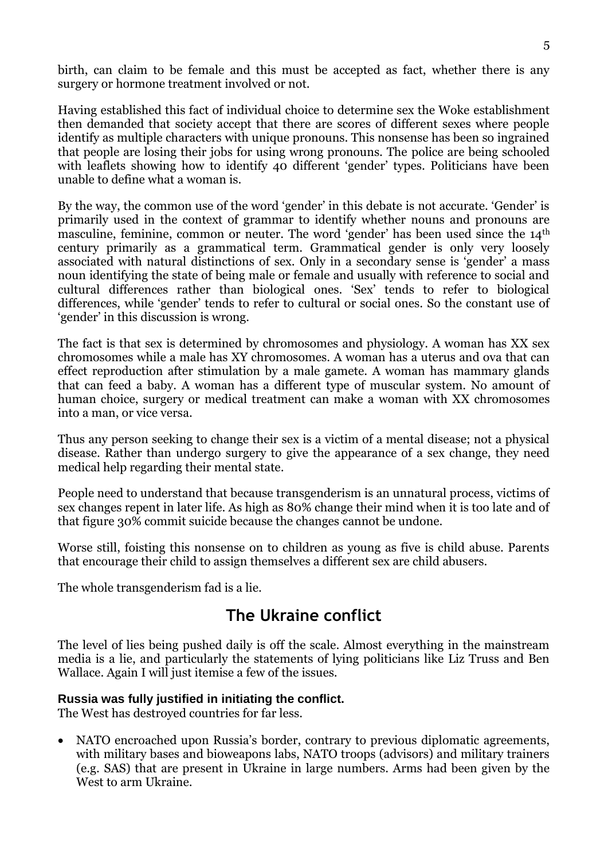birth, can claim to be female and this must be accepted as fact, whether there is any surgery or hormone treatment involved or not.

Having established this fact of individual choice to determine sex the Woke establishment then demanded that society accept that there are scores of different sexes where people identify as multiple characters with unique pronouns. This nonsense has been so ingrained that people are losing their jobs for using wrong pronouns. The police are being schooled with leaflets showing how to identify 40 different 'gender' types. Politicians have been unable to define what a woman is.

By the way, the common use of the word 'gender' in this debate is not accurate. 'Gender' is primarily used in the context of grammar to identify whether nouns and pronouns are masculine, feminine, common or neuter. The word 'gender' has been used since the 14th century primarily as a grammatical term. Grammatical gender is only very loosely associated with natural distinctions of sex. Only in a secondary sense is 'gender' a mass noun identifying the state of being male or female and usually with reference to social and cultural differences rather than biological ones. 'Sex' tends to refer to biological differences, while 'gender' tends to refer to cultural or social ones. So the constant use of 'gender' in this discussion is wrong.

The fact is that sex is determined by chromosomes and physiology. A woman has XX sex chromosomes while a male has XY chromosomes. A woman has a uterus and ova that can effect reproduction after stimulation by a male gamete. A woman has mammary glands that can feed a baby. A woman has a different type of muscular system. No amount of human choice, surgery or medical treatment can make a woman with XX chromosomes into a man, or vice versa.

Thus any person seeking to change their sex is a victim of a mental disease; not a physical disease. Rather than undergo surgery to give the appearance of a sex change, they need medical help regarding their mental state.

People need to understand that because transgenderism is an unnatural process, victims of sex changes repent in later life. As high as 80% change their mind when it is too late and of that figure 30% commit suicide because the changes cannot be undone.

Worse still, foisting this nonsense on to children as young as five is child abuse. Parents that encourage their child to assign themselves a different sex are child abusers.

The whole transgenderism fad is a lie.

# **The Ukraine conflict**

The level of lies being pushed daily is off the scale. Almost everything in the mainstream media is a lie, and particularly the statements of lying politicians like Liz Truss and Ben Wallace. Again I will just itemise a few of the issues.

#### **Russia was fully justified in initiating the conflict.**

The West has destroyed countries for far less.

 NATO encroached upon Russia's border, contrary to previous diplomatic agreements, with military bases and bioweapons labs, NATO troops (advisors) and military trainers (e.g. SAS) that are present in Ukraine in large numbers. Arms had been given by the West to arm Ukraine.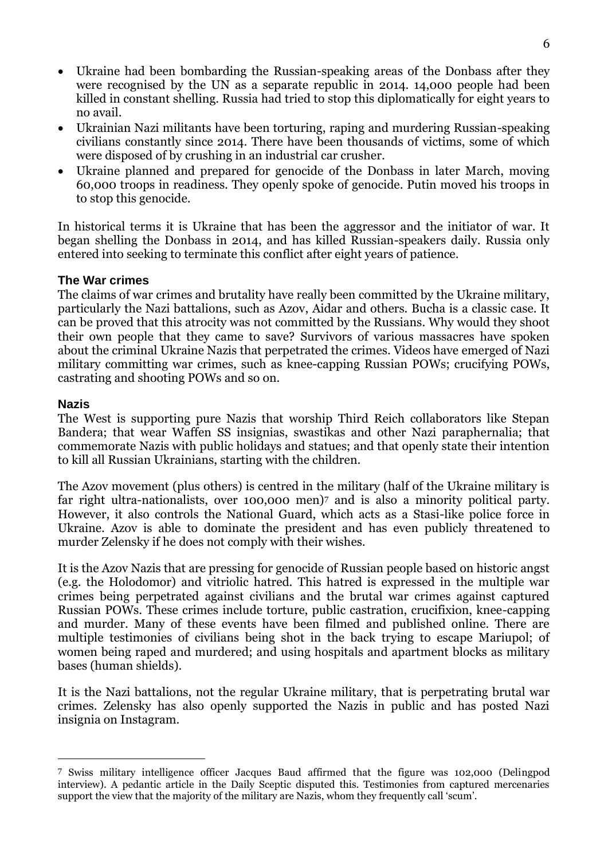- Ukraine had been bombarding the Russian-speaking areas of the Donbass after they were recognised by the UN as a separate republic in 2014. 14,000 people had been killed in constant shelling. Russia had tried to stop this diplomatically for eight years to no avail.
- Ukrainian Nazi militants have been torturing, raping and murdering Russian-speaking civilians constantly since 2014. There have been thousands of victims, some of which were disposed of by crushing in an industrial car crusher.
- Ukraine planned and prepared for genocide of the Donbass in later March, moving 60,000 troops in readiness. They openly spoke of genocide. Putin moved his troops in to stop this genocide.

In historical terms it is Ukraine that has been the aggressor and the initiator of war. It began shelling the Donbass in 2014, and has killed Russian-speakers daily. Russia only entered into seeking to terminate this conflict after eight years of patience.

#### **The War crimes**

The claims of war crimes and brutality have really been committed by the Ukraine military, particularly the Nazi battalions, such as Azov, Aidar and others. Bucha is a classic case. It can be proved that this atrocity was not committed by the Russians. Why would they shoot their own people that they came to save? Survivors of various massacres have spoken about the criminal Ukraine Nazis that perpetrated the crimes. Videos have emerged of Nazi military committing war crimes, such as knee-capping Russian POWs; crucifying POWs, castrating and shooting POWs and so on.

#### **Nazis**

<u>.</u>

The West is supporting pure Nazis that worship Third Reich collaborators like Stepan Bandera; that wear Waffen SS insignias, swastikas and other Nazi paraphernalia; that commemorate Nazis with public holidays and statues; and that openly state their intention to kill all Russian Ukrainians, starting with the children.

The Azov movement (plus others) is centred in the military (half of the Ukraine military is far right ultra-nationalists, over 100,000 men)<sup>7</sup> and is also a minority political party. However, it also controls the National Guard, which acts as a Stasi-like police force in Ukraine. Azov is able to dominate the president and has even publicly threatened to murder Zelensky if he does not comply with their wishes.

It is the Azov Nazis that are pressing for genocide of Russian people based on historic angst (e.g. the Holodomor) and vitriolic hatred. This hatred is expressed in the multiple war crimes being perpetrated against civilians and the brutal war crimes against captured Russian POWs. These crimes include torture, public castration, crucifixion, knee-capping and murder. Many of these events have been filmed and published online. There are multiple testimonies of civilians being shot in the back trying to escape Mariupol; of women being raped and murdered; and using hospitals and apartment blocks as military bases (human shields).

It is the Nazi battalions, not the regular Ukraine military, that is perpetrating brutal war crimes. Zelensky has also openly supported the Nazis in public and has posted Nazi insignia on Instagram.

<sup>7</sup> Swiss military intelligence officer Jacques Baud affirmed that the figure was 102,000 (Delingpod interview). A pedantic article in the Daily Sceptic disputed this. Testimonies from captured mercenaries support the view that the majority of the military are Nazis, whom they frequently call 'scum'.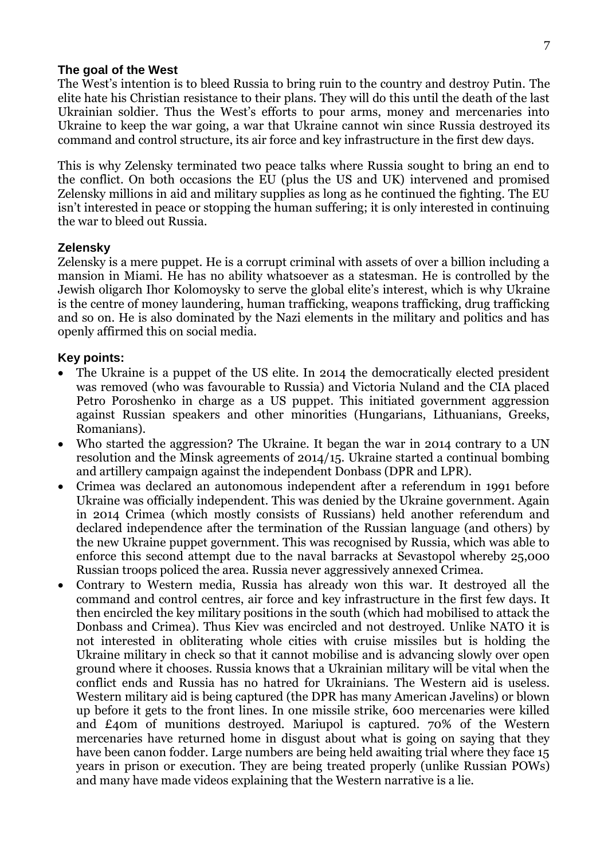#### **The goal of the West**

The West's intention is to bleed Russia to bring ruin to the country and destroy Putin. The elite hate his Christian resistance to their plans. They will do this until the death of the last Ukrainian soldier. Thus the West's efforts to pour arms, money and mercenaries into Ukraine to keep the war going, a war that Ukraine cannot win since Russia destroyed its command and control structure, its air force and key infrastructure in the first dew days.

This is why Zelensky terminated two peace talks where Russia sought to bring an end to the conflict. On both occasions the EU (plus the US and UK) intervened and promised Zelensky millions in aid and military supplies as long as he continued the fighting. The EU isn't interested in peace or stopping the human suffering; it is only interested in continuing the war to bleed out Russia.

#### **Zelensky**

Zelensky is a mere puppet. He is a corrupt criminal with assets of over a billion including a mansion in Miami. He has no ability whatsoever as a statesman. He is controlled by the Jewish oligarch Ihor Kolomoysky to serve the global elite's interest, which is why Ukraine is the centre of money laundering, human trafficking, weapons trafficking, drug trafficking and so on. He is also dominated by the Nazi elements in the military and politics and has openly affirmed this on social media.

#### **Key points:**

- The Ukraine is a puppet of the US elite. In 2014 the democratically elected president was removed (who was favourable to Russia) and Victoria Nuland and the CIA placed Petro Poroshenko in charge as a US puppet. This initiated government aggression against Russian speakers and other minorities (Hungarians, Lithuanians, Greeks, Romanians).
- Who started the aggression? The Ukraine. It began the war in 2014 contrary to a UN resolution and the Minsk agreements of 2014/15. Ukraine started a continual bombing and artillery campaign against the independent Donbass (DPR and LPR).
- Crimea was declared an autonomous independent after a referendum in 1991 before Ukraine was officially independent. This was denied by the Ukraine government. Again in 2014 Crimea (which mostly consists of Russians) held another referendum and declared independence after the termination of the Russian language (and others) by the new Ukraine puppet government. This was recognised by Russia, which was able to enforce this second attempt due to the naval barracks at Sevastopol whereby 25,000 Russian troops policed the area. Russia never aggressively annexed Crimea.
- Contrary to Western media, Russia has already won this war. It destroyed all the command and control centres, air force and key infrastructure in the first few days. It then encircled the key military positions in the south (which had mobilised to attack the Donbass and Crimea). Thus Kiev was encircled and not destroyed. Unlike NATO it is not interested in obliterating whole cities with cruise missiles but is holding the Ukraine military in check so that it cannot mobilise and is advancing slowly over open ground where it chooses. Russia knows that a Ukrainian military will be vital when the conflict ends and Russia has no hatred for Ukrainians. The Western aid is useless. Western military aid is being captured (the DPR has many American Javelins) or blown up before it gets to the front lines. In one missile strike, 600 mercenaries were killed and £40m of munitions destroyed. Mariupol is captured. 70% of the Western mercenaries have returned home in disgust about what is going on saying that they have been canon fodder. Large numbers are being held awaiting trial where they face 15 years in prison or execution. They are being treated properly (unlike Russian POWs) and many have made videos explaining that the Western narrative is a lie.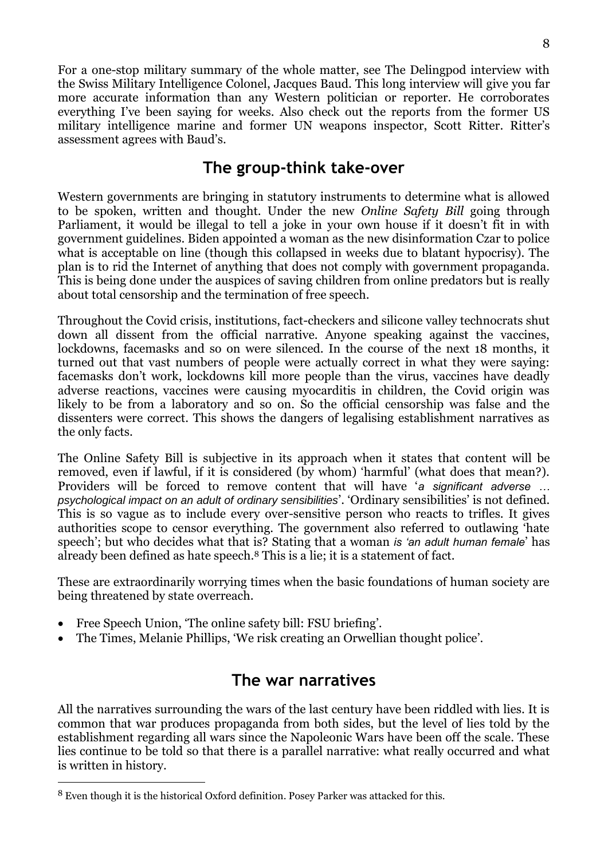For a one-stop military summary of the whole matter, see The Delingpod interview with the Swiss Military Intelligence Colonel, Jacques Baud. This long interview will give you far more accurate information than any Western politician or reporter. He corroborates everything I've been saying for weeks. Also check out the reports from the former US military intelligence marine and former UN weapons inspector, Scott Ritter. Ritter's assessment agrees with Baud's.

### **The group-think take-over**

Western governments are bringing in statutory instruments to determine what is allowed to be spoken, written and thought. Under the new *Online Safety Bill* going through Parliament, it would be illegal to tell a joke in your own house if it doesn't fit in with government guidelines. Biden appointed a woman as the new disinformation Czar to police what is acceptable on line (though this collapsed in weeks due to blatant hypocrisy). The plan is to rid the Internet of anything that does not comply with government propaganda. This is being done under the auspices of saving children from online predators but is really about total censorship and the termination of free speech.

Throughout the Covid crisis, institutions, fact-checkers and silicone valley technocrats shut down all dissent from the official narrative. Anyone speaking against the vaccines, lockdowns, facemasks and so on were silenced. In the course of the next 18 months, it turned out that vast numbers of people were actually correct in what they were saying: facemasks don't work, lockdowns kill more people than the virus, vaccines have deadly adverse reactions, vaccines were causing myocarditis in children, the Covid origin was likely to be from a laboratory and so on. So the official censorship was false and the dissenters were correct. This shows the dangers of legalising establishment narratives as the only facts.

The Online Safety Bill is subjective in its approach when it states that content will be removed, even if lawful, if it is considered (by whom) 'harmful' (what does that mean?). Providers will be forced to remove content that will have '*a significant adverse … psychological impact on an adult of ordinary sensibilities*'. 'Ordinary sensibilities' is not defined. This is so vague as to include every over-sensitive person who reacts to trifles. It gives authorities scope to censor everything. The government also referred to outlawing 'hate speech'; but who decides what that is? Stating that a woman *is 'an adult human female*' has already been defined as hate speech.<sup>8</sup> This is a lie; it is a statement of fact.

These are extraordinarily worrying times when the basic foundations of human society are being threatened by state overreach.

Free Speech Union, 'The online safety bill: FSU briefing'.

<u>.</u>

The Times, Melanie Phillips, 'We risk creating an Orwellian thought police'.

### **The war narratives**

All the narratives surrounding the wars of the last century have been riddled with lies. It is common that war produces propaganda from both sides, but the level of lies told by the establishment regarding all wars since the Napoleonic Wars have been off the scale. These lies continue to be told so that there is a parallel narrative: what really occurred and what is written in history.

<sup>8</sup> Even though it is the historical Oxford definition. Posey Parker was attacked for this.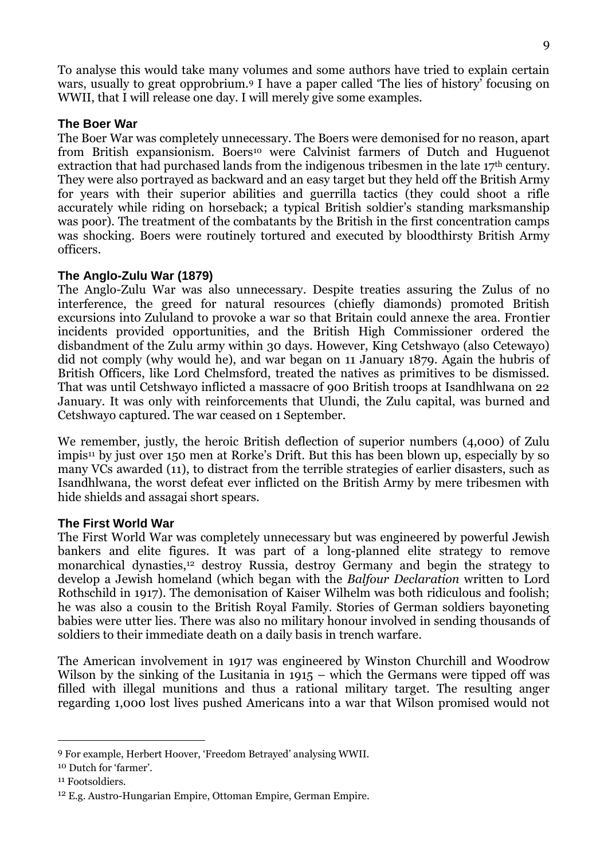To analyse this would take many volumes and some authors have tried to explain certain wars, usually to great opprobrium.<sup>9</sup> I have a paper called 'The lies of history' focusing on WWII, that I will release one day. I will merely give some examples.

#### **The Boer War**

The Boer War was completely unnecessary. The Boers were demonised for no reason, apart from British expansionism. Boers<sup>10</sup> were Calvinist farmers of Dutch and Huguenot extraction that had purchased lands from the indigenous tribesmen in the late 17<sup>th</sup> century. They were also portrayed as backward and an easy target but they held off the British Army for years with their superior abilities and guerrilla tactics (they could shoot a rifle accurately while riding on horseback; a typical British soldier's standing marksmanship was poor). The treatment of the combatants by the British in the first concentration camps was shocking. Boers were routinely tortured and executed by bloodthirsty British Army officers.

#### **The Anglo-Zulu War (1879)**

The Anglo-Zulu War was also unnecessary. Despite treaties assuring the Zulus of no interference, the greed for natural resources (chiefly diamonds) promoted British excursions into Zululand to provoke a war so that Britain could annexe the area. Frontier incidents provided opportunities, and the British High Commissioner ordered the disbandment of the Zulu army within 30 days. However, King Cetshwayo (also Cetewayo) did not comply (why would he), and war began on 11 January 1879. Again the hubris of British Officers, like Lord Chelmsford, treated the natives as primitives to be dismissed. That was until Cetshwayo inflicted a massacre of 900 British troops at Isandhlwana on 22 January. It was only with reinforcements that Ulundi, the Zulu capital, was burned and Cetshwayo captured. The war ceased on 1 September.

We remember, justly, the heroic British deflection of superior numbers (4,000) of Zulu impis<sup>11</sup> by just over 150 men at Rorke's Drift. But this has been blown up, especially by so many VCs awarded (11), to distract from the terrible strategies of earlier disasters, such as Isandhlwana, the worst defeat ever inflicted on the British Army by mere tribesmen with hide shields and assagai short spears.

#### **The First World War**

The First World War was completely unnecessary but was engineered by powerful Jewish bankers and elite figures. It was part of a long-planned elite strategy to remove monarchical dynasties,<sup>12</sup> destroy Russia, destroy Germany and begin the strategy to develop a Jewish homeland (which began with the *Balfour Declaration* written to Lord Rothschild in 1917). The demonisation of Kaiser Wilhelm was both ridiculous and foolish; he was also a cousin to the British Royal Family. Stories of German soldiers bayoneting babies were utter lies. There was also no military honour involved in sending thousands of soldiers to their immediate death on a daily basis in trench warfare.

The American involvement in 1917 was engineered by Winston Churchill and Woodrow Wilson by the sinking of the Lusitania in 1915 – which the Germans were tipped off was filled with illegal munitions and thus a rational military target. The resulting anger regarding 1,000 lost lives pushed Americans into a war that Wilson promised would not

<u>.</u>

<sup>9</sup> For example, Herbert Hoover, 'Freedom Betrayed' analysing WWII.

<sup>10</sup> Dutch for 'farmer'.

<sup>&</sup>lt;sup>11</sup> Footsoldiers.

<sup>12</sup> E.g. Austro-Hungarian Empire, Ottoman Empire, German Empire.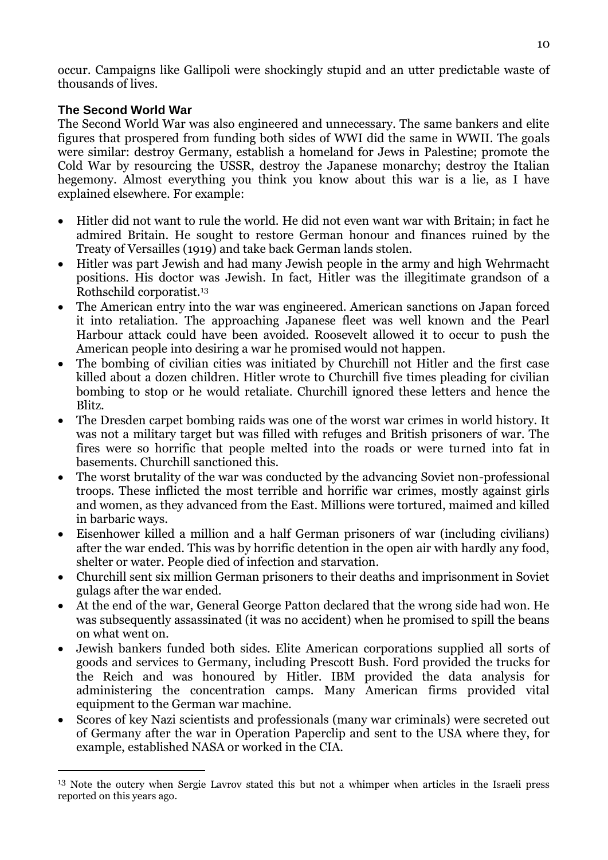occur. Campaigns like Gallipoli were shockingly stupid and an utter predictable waste of thousands of lives.

#### **The Second World War**

-

The Second World War was also engineered and unnecessary. The same bankers and elite figures that prospered from funding both sides of WWI did the same in WWII. The goals were similar: destroy Germany, establish a homeland for Jews in Palestine; promote the Cold War by resourcing the USSR, destroy the Japanese monarchy; destroy the Italian hegemony. Almost everything you think you know about this war is a lie, as I have explained elsewhere. For example:

- Hitler did not want to rule the world. He did not even want war with Britain; in fact he admired Britain. He sought to restore German honour and finances ruined by the Treaty of Versailles (1919) and take back German lands stolen.
- Hitler was part Jewish and had many Jewish people in the army and high Wehrmacht positions. His doctor was Jewish. In fact, Hitler was the illegitimate grandson of a Rothschild corporatist.<sup>13</sup>
- The American entry into the war was engineered. American sanctions on Japan forced it into retaliation. The approaching Japanese fleet was well known and the Pearl Harbour attack could have been avoided. Roosevelt allowed it to occur to push the American people into desiring a war he promised would not happen.
- The bombing of civilian cities was initiated by Churchill not Hitler and the first case killed about a dozen children. Hitler wrote to Churchill five times pleading for civilian bombing to stop or he would retaliate. Churchill ignored these letters and hence the Blitz.
- The Dresden carpet bombing raids was one of the worst war crimes in world history. It was not a military target but was filled with refuges and British prisoners of war. The fires were so horrific that people melted into the roads or were turned into fat in basements. Churchill sanctioned this.
- The worst brutality of the war was conducted by the advancing Soviet non-professional troops. These inflicted the most terrible and horrific war crimes, mostly against girls and women, as they advanced from the East. Millions were tortured, maimed and killed in barbaric ways.
- Eisenhower killed a million and a half German prisoners of war (including civilians) after the war ended. This was by horrific detention in the open air with hardly any food, shelter or water. People died of infection and starvation.
- Churchill sent six million German prisoners to their deaths and imprisonment in Soviet gulags after the war ended.
- At the end of the war, General George Patton declared that the wrong side had won. He was subsequently assassinated (it was no accident) when he promised to spill the beans on what went on.
- Jewish bankers funded both sides. Elite American corporations supplied all sorts of goods and services to Germany, including Prescott Bush. Ford provided the trucks for the Reich and was honoured by Hitler. IBM provided the data analysis for administering the concentration camps. Many American firms provided vital equipment to the German war machine.
- Scores of key Nazi scientists and professionals (many war criminals) were secreted out of Germany after the war in Operation Paperclip and sent to the USA where they, for example, established NASA or worked in the CIA.

<sup>&</sup>lt;sup>13</sup> Note the outcry when Sergie Lavrov stated this but not a whimper when articles in the Israeli press reported on this years ago.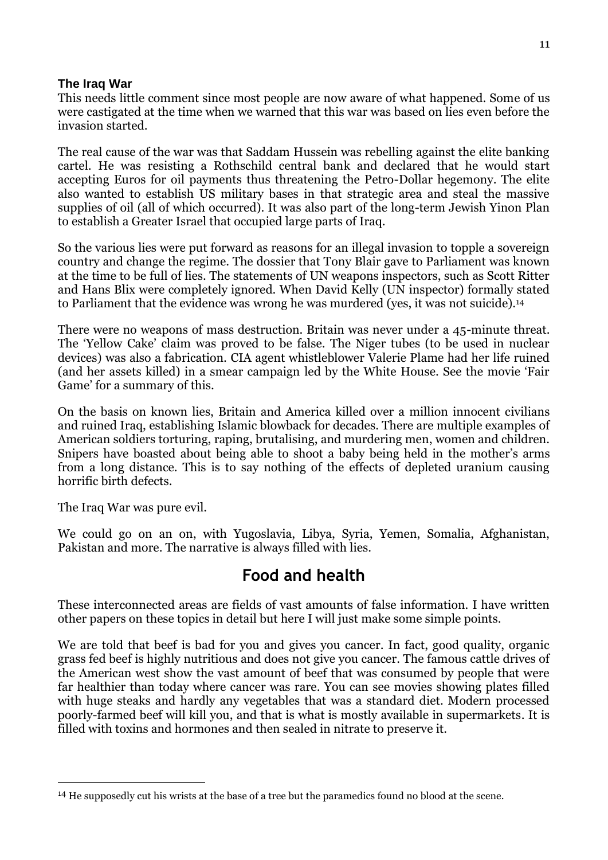#### **The Iraq War**

This needs little comment since most people are now aware of what happened. Some of us were castigated at the time when we warned that this war was based on lies even before the invasion started.

The real cause of the war was that Saddam Hussein was rebelling against the elite banking cartel. He was resisting a Rothschild central bank and declared that he would start accepting Euros for oil payments thus threatening the Petro-Dollar hegemony. The elite also wanted to establish US military bases in that strategic area and steal the massive supplies of oil (all of which occurred). It was also part of the long-term Jewish Yinon Plan to establish a Greater Israel that occupied large parts of Iraq.

So the various lies were put forward as reasons for an illegal invasion to topple a sovereign country and change the regime. The dossier that Tony Blair gave to Parliament was known at the time to be full of lies. The statements of UN weapons inspectors, such as Scott Ritter and Hans Blix were completely ignored. When David Kelly (UN inspector) formally stated to Parliament that the evidence was wrong he was murdered (yes, it was not suicide).<sup>14</sup>

There were no weapons of mass destruction. Britain was never under a 45-minute threat. The 'Yellow Cake' claim was proved to be false. The Niger tubes (to be used in nuclear devices) was also a fabrication. CIA agent whistleblower Valerie Plame had her life ruined (and her assets killed) in a smear campaign led by the White House. See the movie 'Fair Game' for a summary of this.

On the basis on known lies, Britain and America killed over a million innocent civilians and ruined Iraq, establishing Islamic blowback for decades. There are multiple examples of American soldiers torturing, raping, brutalising, and murdering men, women and children. Snipers have boasted about being able to shoot a baby being held in the mother's arms from a long distance. This is to say nothing of the effects of depleted uranium causing horrific birth defects.

The Iraq War was pure evil.

<u>.</u>

We could go on an on, with Yugoslavia, Libya, Syria, Yemen, Somalia, Afghanistan, Pakistan and more. The narrative is always filled with lies.

### **Food and health**

These interconnected areas are fields of vast amounts of false information. I have written other papers on these topics in detail but here I will just make some simple points.

We are told that beef is bad for you and gives you cancer. In fact, good quality, organic grass fed beef is highly nutritious and does not give you cancer. The famous cattle drives of the American west show the vast amount of beef that was consumed by people that were far healthier than today where cancer was rare. You can see movies showing plates filled with huge steaks and hardly any vegetables that was a standard diet. Modern processed poorly-farmed beef will kill you, and that is what is mostly available in supermarkets. It is filled with toxins and hormones and then sealed in nitrate to preserve it.

<sup>14</sup> He supposedly cut his wrists at the base of a tree but the paramedics found no blood at the scene.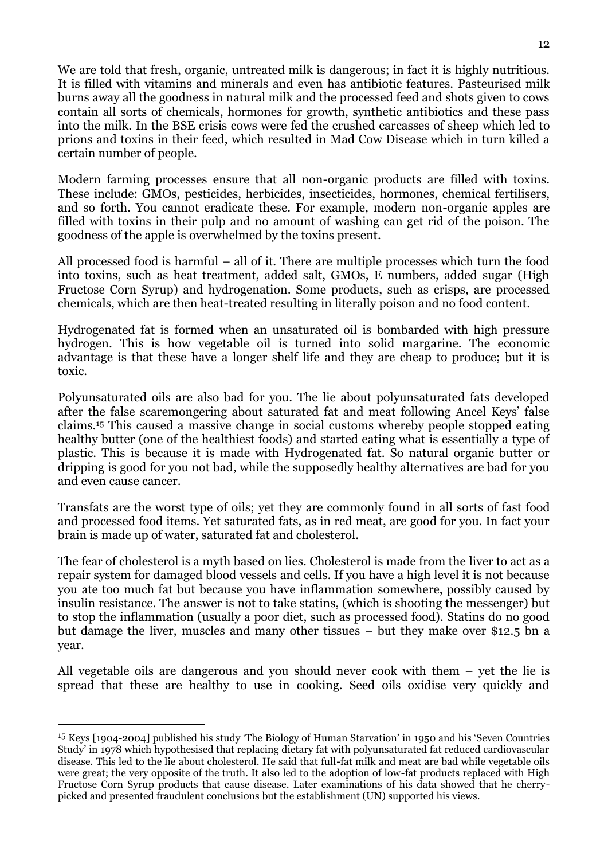We are told that fresh, organic, untreated milk is dangerous; in fact it is highly nutritious. It is filled with vitamins and minerals and even has antibiotic features. Pasteurised milk burns away all the goodness in natural milk and the processed feed and shots given to cows contain all sorts of chemicals, hormones for growth, synthetic antibiotics and these pass into the milk. In the BSE crisis cows were fed the crushed carcasses of sheep which led to prions and toxins in their feed, which resulted in Mad Cow Disease which in turn killed a certain number of people.

Modern farming processes ensure that all non-organic products are filled with toxins. These include: GMOs, pesticides, herbicides, insecticides, hormones, chemical fertilisers, and so forth. You cannot eradicate these. For example, modern non-organic apples are filled with toxins in their pulp and no amount of washing can get rid of the poison. The goodness of the apple is overwhelmed by the toxins present.

All processed food is harmful – all of it. There are multiple processes which turn the food into toxins, such as heat treatment, added salt, GMOs, E numbers, added sugar (High Fructose Corn Syrup) and hydrogenation. Some products, such as crisps, are processed chemicals, which are then heat-treated resulting in literally poison and no food content.

Hydrogenated fat is formed when an unsaturated oil is bombarded with high pressure hydrogen. This is how vegetable oil is turned into solid margarine. The economic advantage is that these have a longer shelf life and they are cheap to produce; but it is toxic.

Polyunsaturated oils are also bad for you. The lie about polyunsaturated fats developed after the false scaremongering about saturated fat and meat following Ancel Keys' false claims.<sup>15</sup> This caused a massive change in social customs whereby people stopped eating healthy butter (one of the healthiest foods) and started eating what is essentially a type of plastic. This is because it is made with Hydrogenated fat. So natural organic butter or dripping is good for you not bad, while the supposedly healthy alternatives are bad for you and even cause cancer.

Transfats are the worst type of oils; yet they are commonly found in all sorts of fast food and processed food items. Yet saturated fats, as in red meat, are good for you. In fact your brain is made up of water, saturated fat and cholesterol.

The fear of cholesterol is a myth based on lies. Cholesterol is made from the liver to act as a repair system for damaged blood vessels and cells. If you have a high level it is not because you ate too much fat but because you have inflammation somewhere, possibly caused by insulin resistance. The answer is not to take statins, (which is shooting the messenger) but to stop the inflammation (usually a poor diet, such as processed food). Statins do no good but damage the liver, muscles and many other tissues – but they make over \$12.5 bn a year.

All vegetable oils are dangerous and you should never cook with them – yet the lie is spread that these are healthy to use in cooking. Seed oils oxidise very quickly and

-

<sup>15</sup> Keys [1904-2004] published his study 'The Biology of Human Starvation' in 1950 and his 'Seven Countries Study' in 1978 which hypothesised that replacing dietary fat with polyunsaturated fat reduced cardiovascular disease. This led to the lie about cholesterol. He said that full-fat milk and meat are bad while vegetable oils were great; the very opposite of the truth. It also led to the adoption of low-fat products replaced with High Fructose Corn Syrup products that cause disease. Later examinations of his data showed that he cherrypicked and presented fraudulent conclusions but the establishment (UN) supported his views.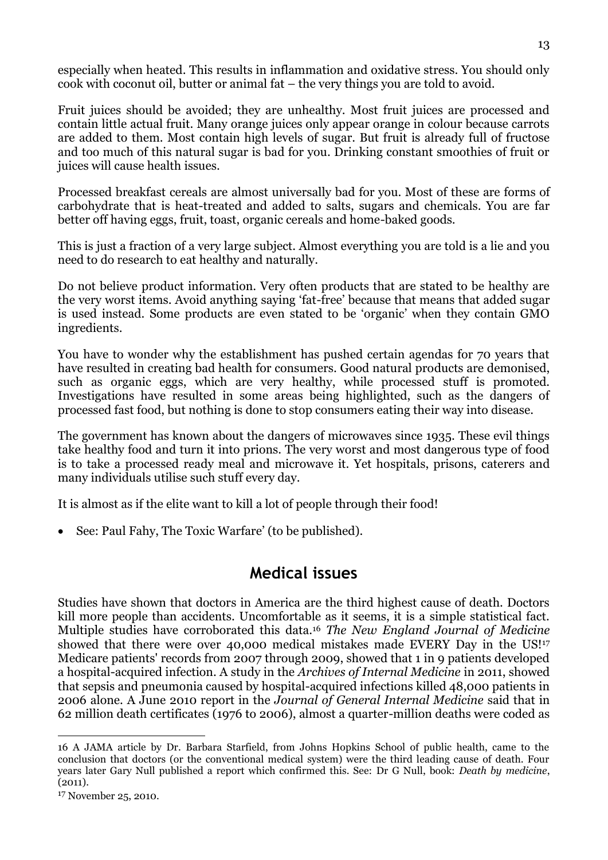especially when heated. This results in inflammation and oxidative stress. You should only cook with coconut oil, butter or animal fat – the very things you are told to avoid.

Fruit juices should be avoided; they are unhealthy. Most fruit juices are processed and contain little actual fruit. Many orange juices only appear orange in colour because carrots are added to them. Most contain high levels of sugar. But fruit is already full of fructose and too much of this natural sugar is bad for you. Drinking constant smoothies of fruit or juices will cause health issues.

Processed breakfast cereals are almost universally bad for you. Most of these are forms of carbohydrate that is heat-treated and added to salts, sugars and chemicals. You are far better off having eggs, fruit, toast, organic cereals and home-baked goods.

This is just a fraction of a very large subject. Almost everything you are told is a lie and you need to do research to eat healthy and naturally.

Do not believe product information. Very often products that are stated to be healthy are the very worst items. Avoid anything saying 'fat-free' because that means that added sugar is used instead. Some products are even stated to be 'organic' when they contain GMO ingredients.

You have to wonder why the establishment has pushed certain agendas for 70 years that have resulted in creating bad health for consumers. Good natural products are demonised, such as organic eggs, which are very healthy, while processed stuff is promoted. Investigations have resulted in some areas being highlighted, such as the dangers of processed fast food, but nothing is done to stop consumers eating their way into disease.

The government has known about the dangers of microwaves since 1935. These evil things take healthy food and turn it into prions. The very worst and most dangerous type of food is to take a processed ready meal and microwave it. Yet hospitals, prisons, caterers and many individuals utilise such stuff every day.

It is almost as if the elite want to kill a lot of people through their food!

See: Paul Fahy, The Toxic Warfare' (to be published).

### **Medical issues**

Studies have shown that doctors in America are the third highest cause of death. Doctors kill more people than accidents. Uncomfortable as it seems, it is a simple statistical fact. Multiple studies have corroborated this data.<sup>16</sup> *The New England Journal of Medicine* showed that there were over 40,000 medical mistakes made EVERY Day in the US!<sup>17</sup> Medicare patients' records from 2007 through 2009, showed that 1 in 9 patients developed a hospital-acquired infection. A study in the *Archives of Internal Medicine* in 2011, showed that sepsis and pneumonia caused by hospital-acquired infections killed 48,000 patients in 2006 alone. A June 2010 report in the *Journal of General Internal Medicine* said that in 62 million death certificates (1976 to 2006), almost a quarter-million deaths were coded as

-

<sup>16</sup> A JAMA article by Dr. Barbara Starfield, from Johns Hopkins School of public health, came to the conclusion that doctors (or the conventional medical system) were the third leading cause of death. Four years later Gary Null published a report which confirmed this. See: Dr G Null, book: *Death by medicine*, (2011).

<sup>17</sup> November 25, 2010.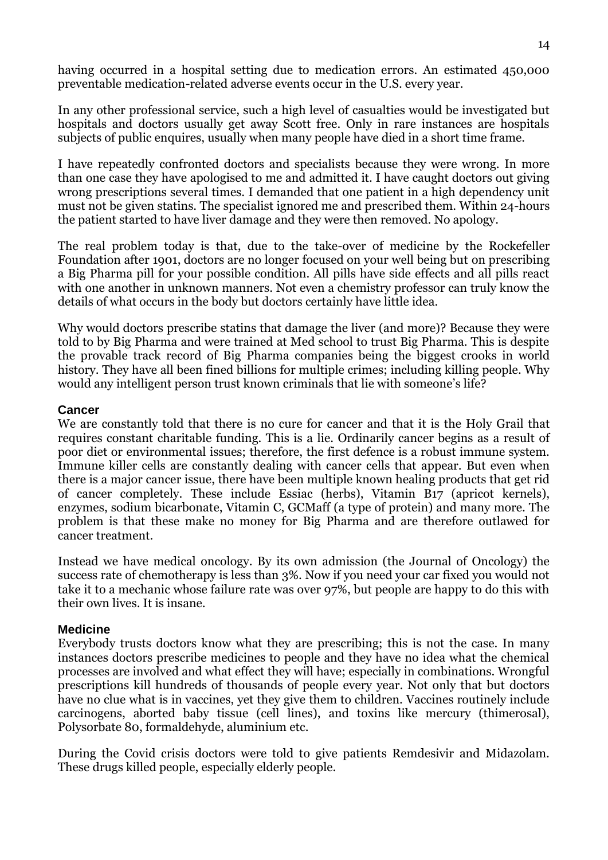having occurred in a hospital setting due to medication errors. An estimated 450,000 preventable medication-related adverse events occur in the U.S. every year.

In any other professional service, such a high level of casualties would be investigated but hospitals and doctors usually get away Scott free. Only in rare instances are hospitals subjects of public enquires, usually when many people have died in a short time frame.

I have repeatedly confronted doctors and specialists because they were wrong. In more than one case they have apologised to me and admitted it. I have caught doctors out giving wrong prescriptions several times. I demanded that one patient in a high dependency unit must not be given statins. The specialist ignored me and prescribed them. Within 24-hours the patient started to have liver damage and they were then removed. No apology.

The real problem today is that, due to the take-over of medicine by the Rockefeller Foundation after 1901, doctors are no longer focused on your well being but on prescribing a Big Pharma pill for your possible condition. All pills have side effects and all pills react with one another in unknown manners. Not even a chemistry professor can truly know the details of what occurs in the body but doctors certainly have little idea.

Why would doctors prescribe statins that damage the liver (and more)? Because they were told to by Big Pharma and were trained at Med school to trust Big Pharma. This is despite the provable track record of Big Pharma companies being the biggest crooks in world history. They have all been fined billions for multiple crimes; including killing people. Why would any intelligent person trust known criminals that lie with someone's life?

#### **Cancer**

We are constantly told that there is no cure for cancer and that it is the Holy Grail that requires constant charitable funding. This is a lie. Ordinarily cancer begins as a result of poor diet or environmental issues; therefore, the first defence is a robust immune system. Immune killer cells are constantly dealing with cancer cells that appear. But even when there is a major cancer issue, there have been multiple known healing products that get rid of cancer completely. These include Essiac (herbs), Vitamin B17 (apricot kernels), enzymes, sodium bicarbonate, Vitamin C, GCMaff (a type of protein) and many more. The problem is that these make no money for Big Pharma and are therefore outlawed for cancer treatment.

Instead we have medical oncology. By its own admission (the Journal of Oncology) the success rate of chemotherapy is less than 3%. Now if you need your car fixed you would not take it to a mechanic whose failure rate was over 97%, but people are happy to do this with their own lives. It is insane.

#### **Medicine**

Everybody trusts doctors know what they are prescribing; this is not the case. In many instances doctors prescribe medicines to people and they have no idea what the chemical processes are involved and what effect they will have; especially in combinations. Wrongful prescriptions kill hundreds of thousands of people every year. Not only that but doctors have no clue what is in vaccines, yet they give them to children. Vaccines routinely include carcinogens, aborted baby tissue (cell lines), and toxins like mercury (thimerosal), Polysorbate 80, formaldehyde, aluminium etc.

During the Covid crisis doctors were told to give patients Remdesivir and Midazolam. These drugs killed people, especially elderly people.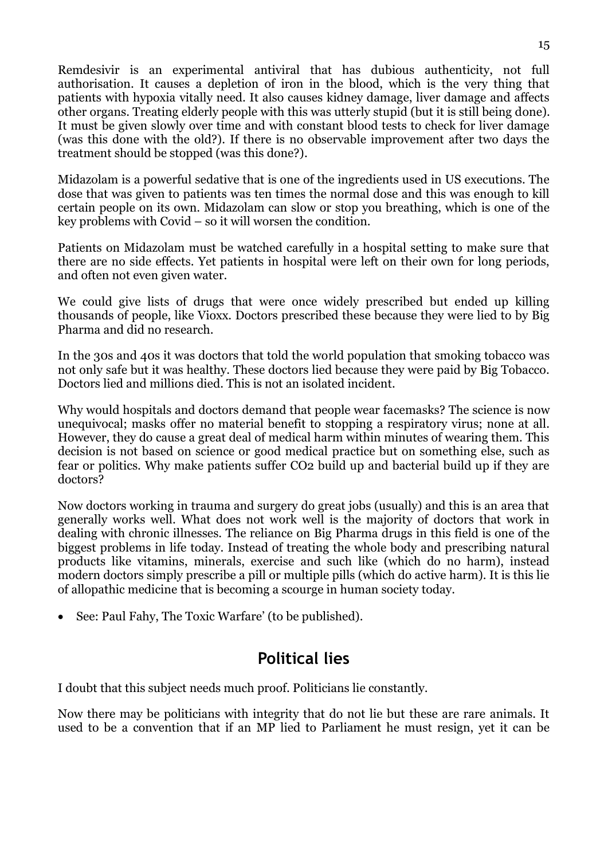Remdesivir is an experimental antiviral that has dubious authenticity, not full authorisation. It causes a depletion of iron in the blood, which is the very thing that patients with hypoxia vitally need. It also causes kidney damage, liver damage and affects other organs. Treating elderly people with this was utterly stupid (but it is still being done). It must be given slowly over time and with constant blood tests to check for liver damage (was this done with the old?). If there is no observable improvement after two days the treatment should be stopped (was this done?).

Midazolam is a powerful sedative that is one of the ingredients used in US executions. The dose that was given to patients was ten times the normal dose and this was enough to kill certain people on its own. Midazolam can slow or stop you breathing, which is one of the key problems with Covid – so it will worsen the condition.

Patients on Midazolam must be watched carefully in a hospital setting to make sure that there are no side effects. Yet patients in hospital were left on their own for long periods, and often not even given water.

We could give lists of drugs that were once widely prescribed but ended up killing thousands of people, like Vioxx. Doctors prescribed these because they were lied to by Big Pharma and did no research.

In the 30s and 40s it was doctors that told the world population that smoking tobacco was not only safe but it was healthy. These doctors lied because they were paid by Big Tobacco. Doctors lied and millions died. This is not an isolated incident.

Why would hospitals and doctors demand that people wear facemasks? The science is now unequivocal; masks offer no material benefit to stopping a respiratory virus; none at all. However, they do cause a great deal of medical harm within minutes of wearing them. This decision is not based on science or good medical practice but on something else, such as fear or politics. Why make patients suffer CO2 build up and bacterial build up if they are doctors?

Now doctors working in trauma and surgery do great jobs (usually) and this is an area that generally works well. What does not work well is the majority of doctors that work in dealing with chronic illnesses. The reliance on Big Pharma drugs in this field is one of the biggest problems in life today. Instead of treating the whole body and prescribing natural products like vitamins, minerals, exercise and such like (which do no harm), instead modern doctors simply prescribe a pill or multiple pills (which do active harm). It is this lie of allopathic medicine that is becoming a scourge in human society today.

• See: Paul Fahy, The Toxic Warfare' (to be published).

# **Political lies**

I doubt that this subject needs much proof. Politicians lie constantly.

Now there may be politicians with integrity that do not lie but these are rare animals. It used to be a convention that if an MP lied to Parliament he must resign, yet it can be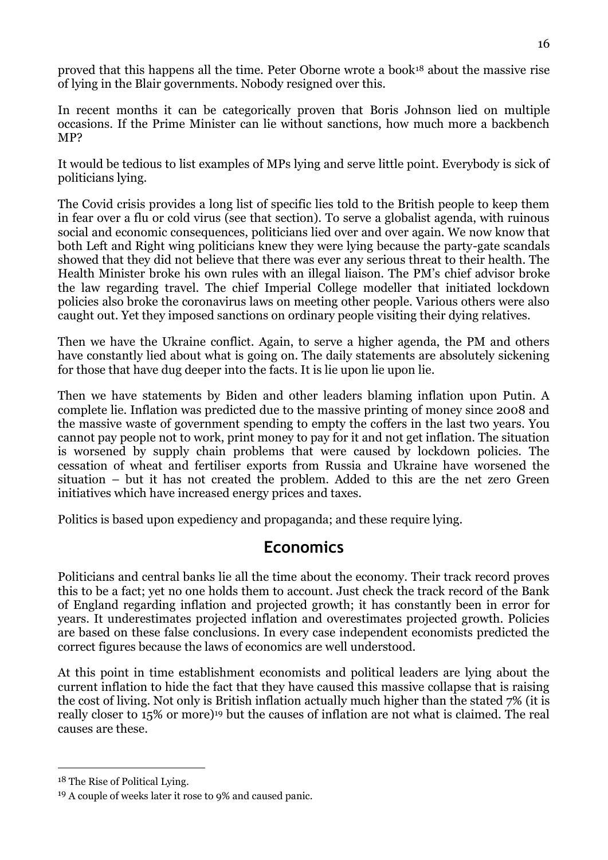proved that this happens all the time. Peter Oborne wrote a book<sup>18</sup> about the massive rise of lying in the Blair governments. Nobody resigned over this.

In recent months it can be categorically proven that Boris Johnson lied on multiple occasions. If the Prime Minister can lie without sanctions, how much more a backbench MP?

It would be tedious to list examples of MPs lying and serve little point. Everybody is sick of politicians lying.

The Covid crisis provides a long list of specific lies told to the British people to keep them in fear over a flu or cold virus (see that section). To serve a globalist agenda, with ruinous social and economic consequences, politicians lied over and over again. We now know that both Left and Right wing politicians knew they were lying because the party-gate scandals showed that they did not believe that there was ever any serious threat to their health. The Health Minister broke his own rules with an illegal liaison. The PM's chief advisor broke the law regarding travel. The chief Imperial College modeller that initiated lockdown policies also broke the coronavirus laws on meeting other people. Various others were also caught out. Yet they imposed sanctions on ordinary people visiting their dying relatives.

Then we have the Ukraine conflict. Again, to serve a higher agenda, the PM and others have constantly lied about what is going on. The daily statements are absolutely sickening for those that have dug deeper into the facts. It is lie upon lie upon lie.

Then we have statements by Biden and other leaders blaming inflation upon Putin. A complete lie. Inflation was predicted due to the massive printing of money since 2008 and the massive waste of government spending to empty the coffers in the last two years. You cannot pay people not to work, print money to pay for it and not get inflation. The situation is worsened by supply chain problems that were caused by lockdown policies. The cessation of wheat and fertiliser exports from Russia and Ukraine have worsened the situation – but it has not created the problem. Added to this are the net zero Green initiatives which have increased energy prices and taxes.

Politics is based upon expediency and propaganda; and these require lying.

# **Economics**

Politicians and central banks lie all the time about the economy. Their track record proves this to be a fact; yet no one holds them to account. Just check the track record of the Bank of England regarding inflation and projected growth; it has constantly been in error for years. It underestimates projected inflation and overestimates projected growth. Policies are based on these false conclusions. In every case independent economists predicted the correct figures because the laws of economics are well understood.

At this point in time establishment economists and political leaders are lying about the current inflation to hide the fact that they have caused this massive collapse that is raising the cost of living. Not only is British inflation actually much higher than the stated 7% (it is really closer to 15% or more)<sup>19</sup> but the causes of inflation are not what is claimed. The real causes are these.

<u>.</u>

<sup>18</sup> The Rise of Political Lying.

<sup>19</sup> A couple of weeks later it rose to 9% and caused panic.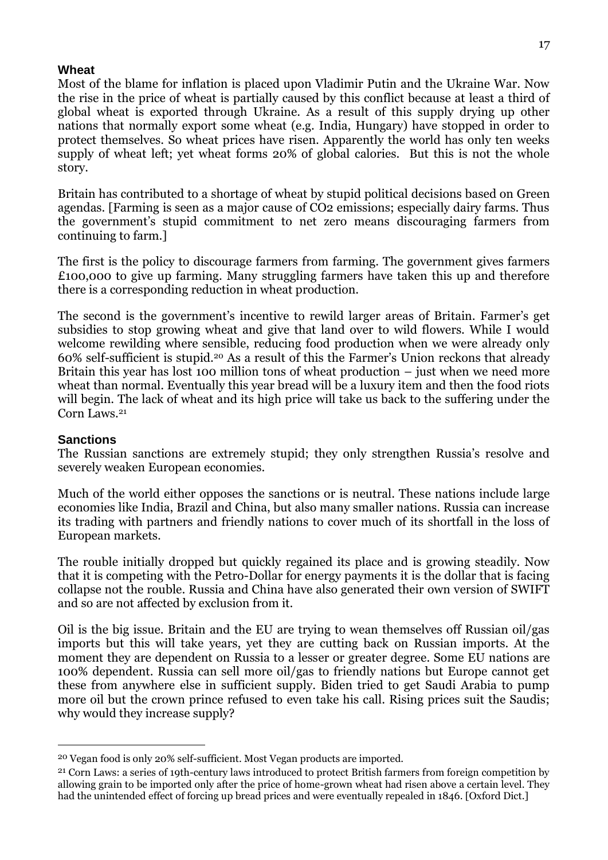#### **Wheat**

Most of the blame for inflation is placed upon Vladimir Putin and the Ukraine War. Now the rise in the price of wheat is partially caused by this conflict because at least a third of global wheat is exported through Ukraine. As a result of this supply drying up other nations that normally export some wheat (e.g. India, Hungary) have stopped in order to protect themselves. So wheat prices have risen. Apparently the world has only ten weeks supply of wheat left; yet wheat forms 20% of global calories. But this is not the whole story.

Britain has contributed to a shortage of wheat by stupid political decisions based on Green agendas. [Farming is seen as a major cause of CO2 emissions; especially dairy farms. Thus the government's stupid commitment to net zero means discouraging farmers from continuing to farm.]

The first is the policy to discourage farmers from farming. The government gives farmers £100,000 to give up farming. Many struggling farmers have taken this up and therefore there is a corresponding reduction in wheat production.

The second is the government's incentive to rewild larger areas of Britain. Farmer's get subsidies to stop growing wheat and give that land over to wild flowers. While I would welcome rewilding where sensible, reducing food production when we were already only 60% self-sufficient is stupid.<sup>20</sup> As a result of this the Farmer's Union reckons that already Britain this year has lost 100 million tons of wheat production – just when we need more wheat than normal. Eventually this year bread will be a luxury item and then the food riots will begin. The lack of wheat and its high price will take us back to the suffering under the Corn Laws.<sup>21</sup>

#### **Sanctions**

<u>.</u>

The Russian sanctions are extremely stupid; they only strengthen Russia's resolve and severely weaken European economies.

Much of the world either opposes the sanctions or is neutral. These nations include large economies like India, Brazil and China, but also many smaller nations. Russia can increase its trading with partners and friendly nations to cover much of its shortfall in the loss of European markets.

The rouble initially dropped but quickly regained its place and is growing steadily. Now that it is competing with the Petro-Dollar for energy payments it is the dollar that is facing collapse not the rouble. Russia and China have also generated their own version of SWIFT and so are not affected by exclusion from it.

Oil is the big issue. Britain and the EU are trying to wean themselves off Russian oil/gas imports but this will take years, yet they are cutting back on Russian imports. At the moment they are dependent on Russia to a lesser or greater degree. Some EU nations are 100% dependent. Russia can sell more oil/gas to friendly nations but Europe cannot get these from anywhere else in sufficient supply. Biden tried to get Saudi Arabia to pump more oil but the crown prince refused to even take his call. Rising prices suit the Saudis; why would they increase supply?

<sup>20</sup> Vegan food is only 20% self-sufficient. Most Vegan products are imported.

<sup>21</sup> Corn Laws: a series of 19th-century laws introduced to protect British farmers from foreign competition by allowing grain to be imported only after the price of home-grown wheat had risen above a certain level. They had the unintended effect of forcing up bread prices and were eventually repealed in 1846. [Oxford Dict.]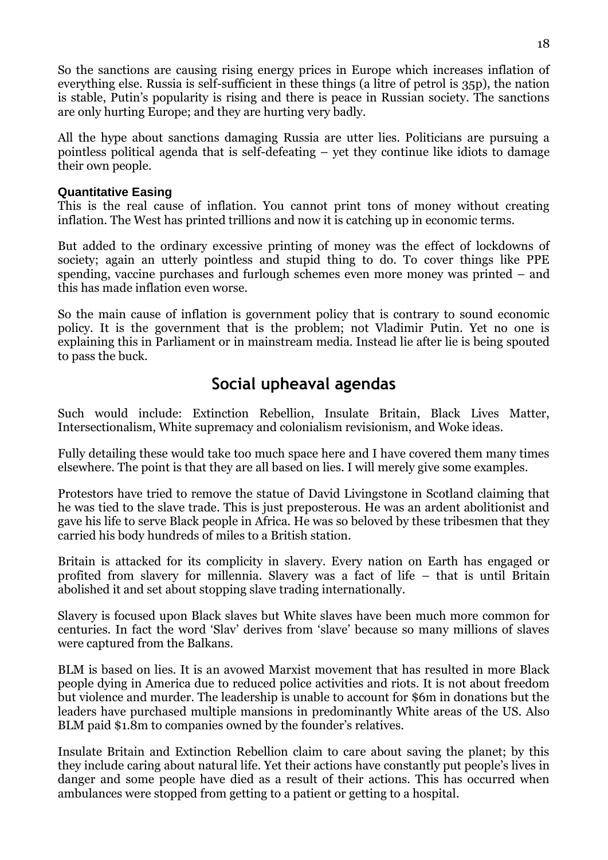So the sanctions are causing rising energy prices in Europe which increases inflation of everything else. Russia is self-sufficient in these things (a litre of petrol is 35p), the nation is stable, Putin's popularity is rising and there is peace in Russian society. The sanctions are only hurting Europe; and they are hurting very badly.

All the hype about sanctions damaging Russia are utter lies. Politicians are pursuing a pointless political agenda that is self-defeating – yet they continue like idiots to damage their own people.

#### **Quantitative Easing**

This is the real cause of inflation. You cannot print tons of money without creating inflation. The West has printed trillions and now it is catching up in economic terms.

But added to the ordinary excessive printing of money was the effect of lockdowns of society; again an utterly pointless and stupid thing to do. To cover things like PPE spending, vaccine purchases and furlough schemes even more money was printed – and this has made inflation even worse.

So the main cause of inflation is government policy that is contrary to sound economic policy. It is the government that is the problem; not Vladimir Putin. Yet no one is explaining this in Parliament or in mainstream media. Instead lie after lie is being spouted to pass the buck.

### **Social upheaval agendas**

Such would include: Extinction Rebellion, Insulate Britain, Black Lives Matter, Intersectionalism, White supremacy and colonialism revisionism, and Woke ideas.

Fully detailing these would take too much space here and I have covered them many times elsewhere. The point is that they are all based on lies. I will merely give some examples.

Protestors have tried to remove the statue of David Livingstone in Scotland claiming that he was tied to the slave trade. This is just preposterous. He was an ardent abolitionist and gave his life to serve Black people in Africa. He was so beloved by these tribesmen that they carried his body hundreds of miles to a British station.

Britain is attacked for its complicity in slavery. Every nation on Earth has engaged or profited from slavery for millennia. Slavery was a fact of life – that is until Britain abolished it and set about stopping slave trading internationally.

Slavery is focused upon Black slaves but White slaves have been much more common for centuries. In fact the word 'Slav' derives from 'slave' because so many millions of slaves were captured from the Balkans.

BLM is based on lies. It is an avowed Marxist movement that has resulted in more Black people dying in America due to reduced police activities and riots. It is not about freedom but violence and murder. The leadership is unable to account for \$6m in donations but the leaders have purchased multiple mansions in predominantly White areas of the US. Also BLM paid \$1.8m to companies owned by the founder's relatives.

Insulate Britain and Extinction Rebellion claim to care about saving the planet; by this they include caring about natural life. Yet their actions have constantly put people's lives in danger and some people have died as a result of their actions. This has occurred when ambulances were stopped from getting to a patient or getting to a hospital.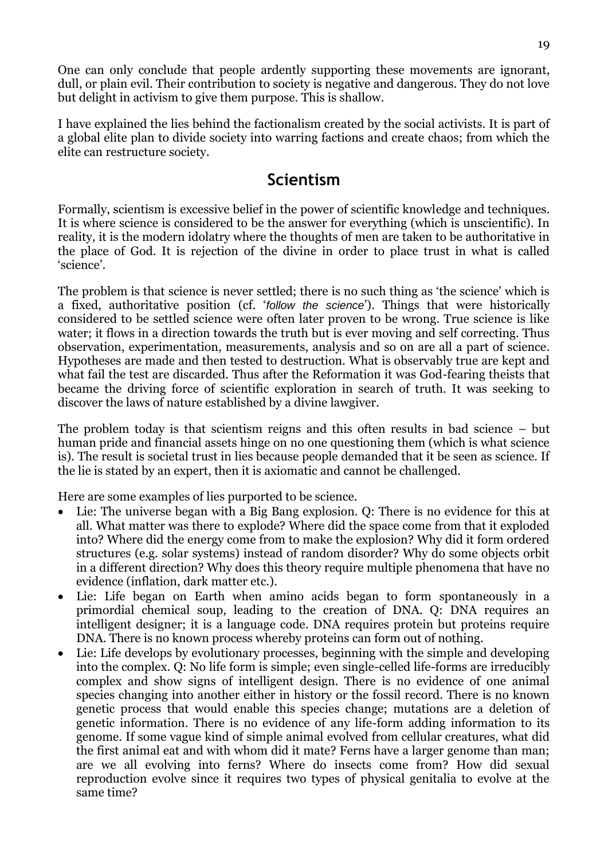One can only conclude that people ardently supporting these movements are ignorant, dull, or plain evil. Their contribution to society is negative and dangerous. They do not love but delight in activism to give them purpose. This is shallow.

I have explained the lies behind the factionalism created by the social activists. It is part of a global elite plan to divide society into warring factions and create chaos; from which the elite can restructure society.

### **Scientism**

Formally, scientism is excessive belief in the power of scientific knowledge and techniques. It is where science is considered to be the answer for everything (which is unscientific). In reality, it is the modern idolatry where the thoughts of men are taken to be authoritative in the place of God. It is rejection of the divine in order to place trust in what is called 'science'.

The problem is that science is never settled; there is no such thing as 'the science' which is a fixed, authoritative position (cf. '*follow the science*'). Things that were historically considered to be settled science were often later proven to be wrong. True science is like water; it flows in a direction towards the truth but is ever moving and self correcting. Thus observation, experimentation, measurements, analysis and so on are all a part of science. Hypotheses are made and then tested to destruction. What is observably true are kept and what fail the test are discarded. Thus after the Reformation it was God-fearing theists that became the driving force of scientific exploration in search of truth. It was seeking to discover the laws of nature established by a divine lawgiver.

The problem today is that scientism reigns and this often results in bad science – but human pride and financial assets hinge on no one questioning them (which is what science is). The result is societal trust in lies because people demanded that it be seen as science. If the lie is stated by an expert, then it is axiomatic and cannot be challenged.

Here are some examples of lies purported to be science.

- Lie: The universe began with a Big Bang explosion. Q: There is no evidence for this at all. What matter was there to explode? Where did the space come from that it exploded into? Where did the energy come from to make the explosion? Why did it form ordered structures (e.g. solar systems) instead of random disorder? Why do some objects orbit in a different direction? Why does this theory require multiple phenomena that have no evidence (inflation, dark matter etc.).
- Lie: Life began on Earth when amino acids began to form spontaneously in a primordial chemical soup, leading to the creation of DNA. Q: DNA requires an intelligent designer; it is a language code. DNA requires protein but proteins require DNA. There is no known process whereby proteins can form out of nothing.
- Lie: Life develops by evolutionary processes, beginning with the simple and developing into the complex. Q: No life form is simple; even single-celled life-forms are irreducibly complex and show signs of intelligent design. There is no evidence of one animal species changing into another either in history or the fossil record. There is no known genetic process that would enable this species change; mutations are a deletion of genetic information. There is no evidence of any life-form adding information to its genome. If some vague kind of simple animal evolved from cellular creatures, what did the first animal eat and with whom did it mate? Ferns have a larger genome than man; are we all evolving into ferns? Where do insects come from? How did sexual reproduction evolve since it requires two types of physical genitalia to evolve at the same time?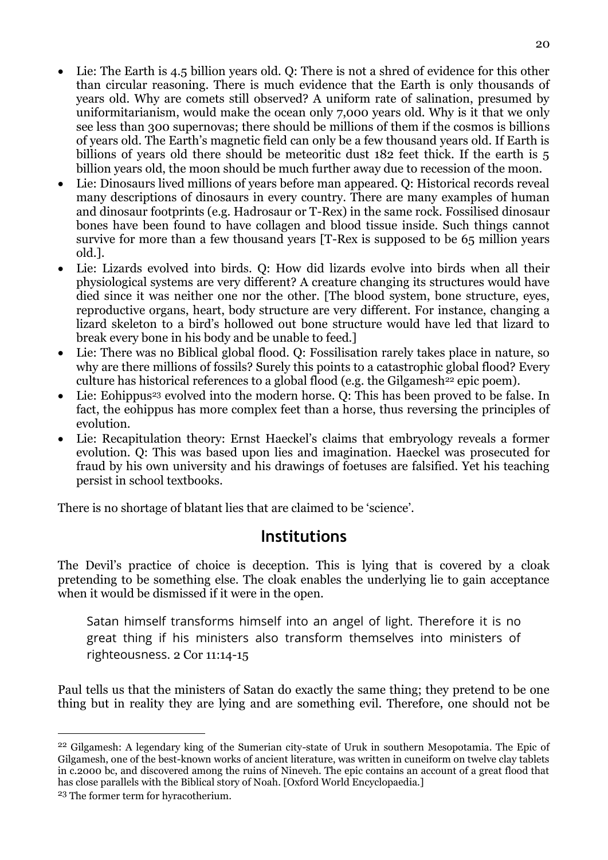- Lie: The Earth is 4.5 billion years old. Q: There is not a shred of evidence for this other than circular reasoning. There is much evidence that the Earth is only thousands of years old. Why are comets still observed? A uniform rate of salination, presumed by uniformitarianism, would make the ocean only 7,000 years old. Why is it that we only see less than 300 supernovas; there should be millions of them if the cosmos is billions of years old. The Earth's magnetic field can only be a few thousand years old. If Earth is billions of years old there should be meteoritic dust 182 feet thick. If the earth is 5 billion years old, the moon should be much further away due to recession of the moon.
- Lie: Dinosaurs lived millions of years before man appeared. Q: Historical records reveal many descriptions of dinosaurs in every country. There are many examples of human and dinosaur footprints (e.g. Hadrosaur or T-Rex) in the same rock. Fossilised dinosaur bones have been found to have collagen and blood tissue inside. Such things cannot survive for more than a few thousand years [T-Rex is supposed to be 65 million years old.].
- Lie: Lizards evolved into birds. Q: How did lizards evolve into birds when all their physiological systems are very different? A creature changing its structures would have died since it was neither one nor the other. [The blood system, bone structure, eyes, reproductive organs, heart, body structure are very different. For instance, changing a lizard skeleton to a bird's hollowed out bone structure would have led that lizard to break every bone in his body and be unable to feed.]
- Lie: There was no Biblical global flood. Q: Fossilisation rarely takes place in nature, so why are there millions of fossils? Surely this points to a catastrophic global flood? Every culture has historical references to a global flood (e.g. the Gilgamesh<sup>22</sup> epic poem).
- Lie: Eohippus<sup>23</sup> evolved into the modern horse. O: This has been proved to be false. In fact, the eohippus has more complex feet than a horse, thus reversing the principles of evolution.
- Lie: Recapitulation theory: Ernst Haeckel's claims that embryology reveals a former evolution. Q: This was based upon lies and imagination. Haeckel was prosecuted for fraud by his own university and his drawings of foetuses are falsified. Yet his teaching persist in school textbooks.

There is no shortage of blatant lies that are claimed to be 'science'.

### **Institutions**

The Devil's practice of choice is deception. This is lying that is covered by a cloak pretending to be something else. The cloak enables the underlying lie to gain acceptance when it would be dismissed if it were in the open.

Satan himself transforms himself into an angel of light. Therefore it is no great thing if his ministers also transform themselves into ministers of righteousness. 2 Cor 11:14-15

Paul tells us that the ministers of Satan do exactly the same thing; they pretend to be one thing but in reality they are lying and are something evil. Therefore, one should not be

-

<sup>22</sup> Gilgamesh: A legendary king of the Sumerian city-state of Uruk in southern Mesopotamia. The Epic of Gilgamesh, one of the best-known works of ancient literature, was written in cuneiform on twelve clay tablets in c.2000 bc, and discovered among the ruins of Nineveh. The epic contains an account of a great flood that has close parallels with the Biblical story of Noah. [Oxford World Encyclopaedia.]

<sup>23</sup> The former term for hyracotherium.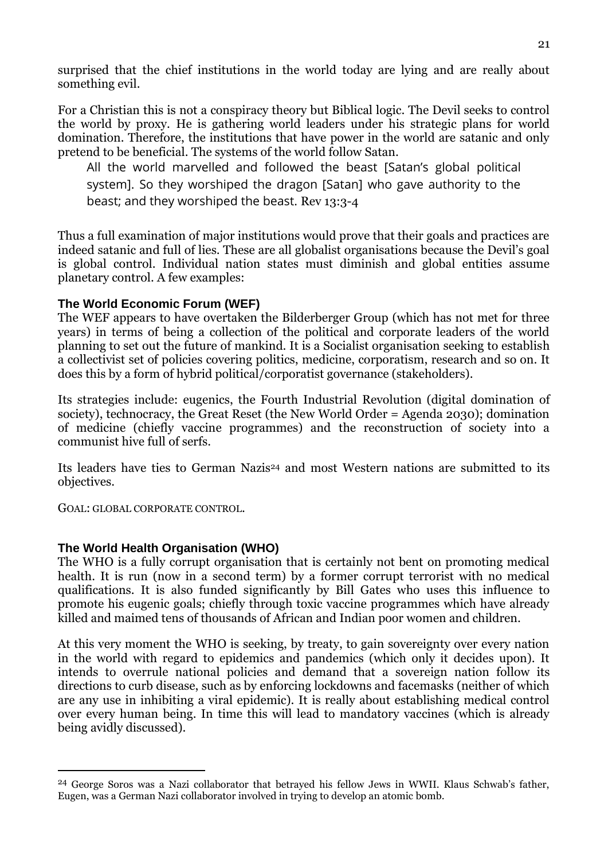surprised that the chief institutions in the world today are lying and are really about something evil.

For a Christian this is not a conspiracy theory but Biblical logic. The Devil seeks to control the world by proxy. He is gathering world leaders under his strategic plans for world domination. Therefore, the institutions that have power in the world are satanic and only pretend to be beneficial. The systems of the world follow Satan.

All the world marvelled and followed the beast [Satan's global political system]. So they worshiped the dragon [Satan] who gave authority to the beast; and they worshiped the beast. Rev 13:3-4

Thus a full examination of major institutions would prove that their goals and practices are indeed satanic and full of lies. These are all globalist organisations because the Devil's goal is global control. Individual nation states must diminish and global entities assume planetary control. A few examples:

#### **The World Economic Forum (WEF)**

The WEF appears to have overtaken the Bilderberger Group (which has not met for three years) in terms of being a collection of the political and corporate leaders of the world planning to set out the future of mankind. It is a Socialist organisation seeking to establish a collectivist set of policies covering politics, medicine, corporatism, research and so on. It does this by a form of hybrid political/corporatist governance (stakeholders).

Its strategies include: eugenics, the Fourth Industrial Revolution (digital domination of society), technocracy, the Great Reset (the New World Order = Agenda 2030); domination of medicine (chiefly vaccine programmes) and the reconstruction of society into a communist hive full of serfs.

Its leaders have ties to German Nazis<sup>24</sup> and most Western nations are submitted to its objectives.

GOAL: GLOBAL CORPORATE CONTROL.

-

#### **The World Health Organisation (WHO)**

The WHO is a fully corrupt organisation that is certainly not bent on promoting medical health. It is run (now in a second term) by a former corrupt terrorist with no medical qualifications. It is also funded significantly by Bill Gates who uses this influence to promote his eugenic goals; chiefly through toxic vaccine programmes which have already killed and maimed tens of thousands of African and Indian poor women and children.

At this very moment the WHO is seeking, by treaty, to gain sovereignty over every nation in the world with regard to epidemics and pandemics (which only it decides upon). It intends to overrule national policies and demand that a sovereign nation follow its directions to curb disease, such as by enforcing lockdowns and facemasks (neither of which are any use in inhibiting a viral epidemic). It is really about establishing medical control over every human being. In time this will lead to mandatory vaccines (which is already being avidly discussed).

<sup>24</sup> George Soros was a Nazi collaborator that betrayed his fellow Jews in WWII. Klaus Schwab's father, Eugen, was a German Nazi collaborator involved in trying to develop an atomic bomb.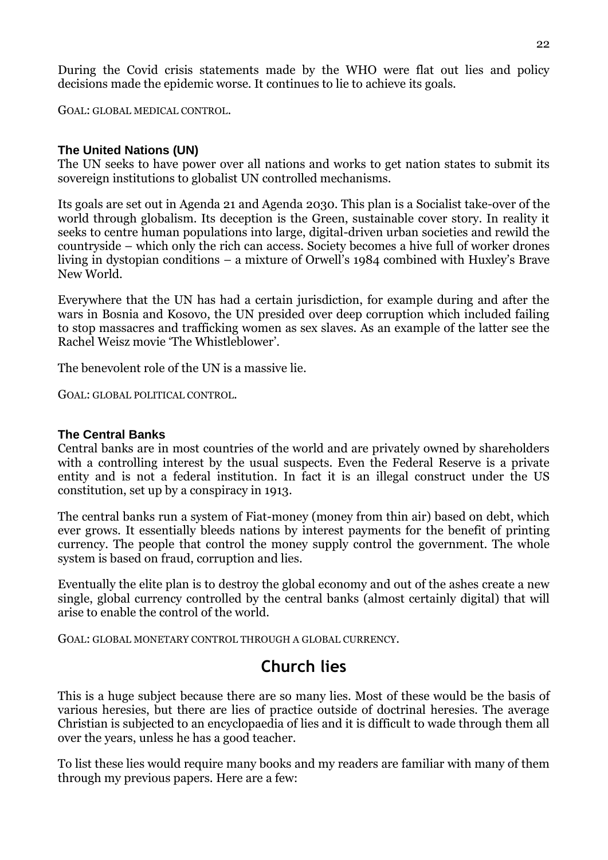During the Covid crisis statements made by the WHO were flat out lies and policy decisions made the epidemic worse. It continues to lie to achieve its goals.

GOAL: GLOBAL MEDICAL CONTROL.

#### **The United Nations (UN)**

The UN seeks to have power over all nations and works to get nation states to submit its sovereign institutions to globalist UN controlled mechanisms.

Its goals are set out in Agenda 21 and Agenda 2030. This plan is a Socialist take-over of the world through globalism. Its deception is the Green, sustainable cover story. In reality it seeks to centre human populations into large, digital-driven urban societies and rewild the countryside – which only the rich can access. Society becomes a hive full of worker drones living in dystopian conditions – a mixture of Orwell's 1984 combined with Huxley's Brave New World.

Everywhere that the UN has had a certain jurisdiction, for example during and after the wars in Bosnia and Kosovo, the UN presided over deep corruption which included failing to stop massacres and trafficking women as sex slaves. As an example of the latter see the Rachel Weisz movie 'The Whistleblower'.

The benevolent role of the UN is a massive lie.

GOAL: GLOBAL POLITICAL CONTROL.

#### **The Central Banks**

Central banks are in most countries of the world and are privately owned by shareholders with a controlling interest by the usual suspects. Even the Federal Reserve is a private entity and is not a federal institution. In fact it is an illegal construct under the US constitution, set up by a conspiracy in 1913.

The central banks run a system of Fiat-money (money from thin air) based on debt, which ever grows. It essentially bleeds nations by interest payments for the benefit of printing currency. The people that control the money supply control the government. The whole system is based on fraud, corruption and lies.

Eventually the elite plan is to destroy the global economy and out of the ashes create a new single, global currency controlled by the central banks (almost certainly digital) that will arise to enable the control of the world.

GOAL: GLOBAL MONETARY CONTROL THROUGH A GLOBAL CURRENCY.

# **Church lies**

This is a huge subject because there are so many lies. Most of these would be the basis of various heresies, but there are lies of practice outside of doctrinal heresies. The average Christian is subjected to an encyclopaedia of lies and it is difficult to wade through them all over the years, unless he has a good teacher.

To list these lies would require many books and my readers are familiar with many of them through my previous papers. Here are a few: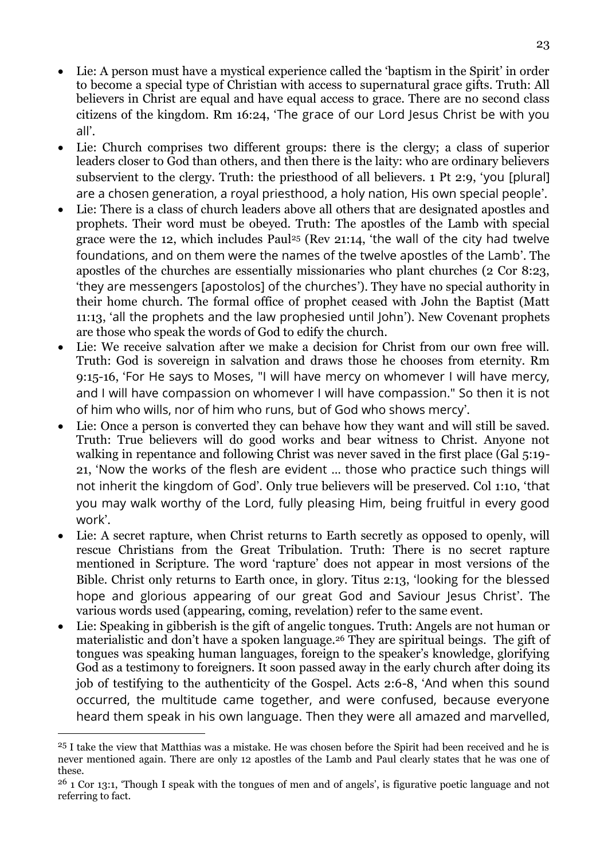- Lie: A person must have a mystical experience called the 'baptism in the Spirit' in order to become a special type of Christian with access to supernatural grace gifts. Truth: All believers in Christ are equal and have equal access to grace. There are no second class citizens of the kingdom. Rm 16:24, 'The grace of our Lord Jesus Christ be with you all'.
- Lie: Church comprises two different groups: there is the clergy; a class of superior leaders closer to God than others, and then there is the laity: who are ordinary believers subservient to the clergy. Truth: the priesthood of all believers. 1 Pt 2:9, 'you [plural] are a chosen generation, a royal priesthood, a holy nation, His own special people'.
- Lie: There is a class of church leaders above all others that are designated apostles and prophets. Their word must be obeyed. Truth: The apostles of the Lamb with special grace were the 12, which includes Paul<sup>25</sup> (Rev 21:14, 'the wall of the city had twelve foundations, and on them were the names of the twelve apostles of the Lamb'. The apostles of the churches are essentially missionaries who plant churches (2 Cor 8:23, 'they are messengers [apostolos] of the churches'). They have no special authority in their home church. The formal office of prophet ceased with John the Baptist (Matt 11:13, 'all the prophets and the law prophesied until John'). New Covenant prophets are those who speak the words of God to edify the church.
- Lie: We receive salvation after we make a decision for Christ from our own free will. Truth: God is sovereign in salvation and draws those he chooses from eternity. Rm 9:15-16, 'For He says to Moses, "I will have mercy on whomever I will have mercy, and I will have compassion on whomever I will have compassion." So then it is not of him who wills, nor of him who runs, but of God who shows mercy'.
- Lie: Once a person is converted they can behave how they want and will still be saved. Truth: True believers will do good works and bear witness to Christ. Anyone not walking in repentance and following Christ was never saved in the first place (Gal 5:19-21, 'Now the works of the flesh are evident … those who practice such things will not inherit the kingdom of God'. Only true believers will be preserved. Col 1:10, 'that you may walk worthy of the Lord, fully pleasing Him, being fruitful in every good work'.
- Lie: A secret rapture, when Christ returns to Earth secretly as opposed to openly, will rescue Christians from the Great Tribulation. Truth: There is no secret rapture mentioned in Scripture. The word 'rapture' does not appear in most versions of the Bible. Christ only returns to Earth once, in glory. Titus 2:13, 'looking for the blessed hope and glorious appearing of our great God and Saviour Jesus Christ'. The various words used (appearing, coming, revelation) refer to the same event.
- Lie: Speaking in gibberish is the gift of angelic tongues. Truth: Angels are not human or materialistic and don't have a spoken language.<sup>26</sup> They are spiritual beings. The gift of tongues was speaking human languages, foreign to the speaker's knowledge, glorifying God as a testimony to foreigners. It soon passed away in the early church after doing its job of testifying to the authenticity of the Gospel. Acts 2:6-8, 'And when this sound occurred, the multitude came together, and were confused, because everyone heard them speak in his own language. Then they were all amazed and marvelled,

-

<sup>25</sup> I take the view that Matthias was a mistake. He was chosen before the Spirit had been received and he is never mentioned again. There are only 12 apostles of the Lamb and Paul clearly states that he was one of these.

<sup>26</sup> 1 Cor 13:1, 'Though I speak with the tongues of men and of angels', is figurative poetic language and not referring to fact.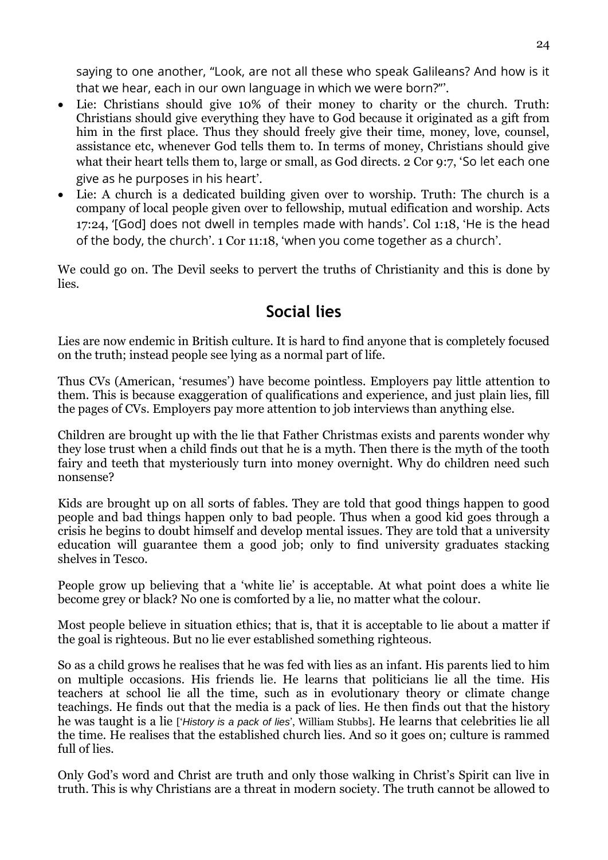saying to one another, "Look, are not all these who speak Galileans? And how is it that we hear, each in our own language in which we were born?"'.

- Lie: Christians should give 10% of their money to charity or the church. Truth: Christians should give everything they have to God because it originated as a gift from him in the first place. Thus they should freely give their time, money, love, counsel, assistance etc, whenever God tells them to. In terms of money, Christians should give what their heart tells them to, large or small, as God directs. 2 Cor 9:7, 'So let each one give as he purposes in his heart'.
- Lie: A church is a dedicated building given over to worship. Truth: The church is a company of local people given over to fellowship, mutual edification and worship. Acts 17:24, '[God] does not dwell in temples made with hands'. Col 1:18, 'He is the head of the body, the church'. 1 Cor 11:18, 'when you come together as a church'.

We could go on. The Devil seeks to pervert the truths of Christianity and this is done by lies.

# **Social lies**

Lies are now endemic in British culture. It is hard to find anyone that is completely focused on the truth; instead people see lying as a normal part of life.

Thus CVs (American, 'resumes') have become pointless. Employers pay little attention to them. This is because exaggeration of qualifications and experience, and just plain lies, fill the pages of CVs. Employers pay more attention to job interviews than anything else.

Children are brought up with the lie that Father Christmas exists and parents wonder why they lose trust when a child finds out that he is a myth. Then there is the myth of the tooth fairy and teeth that mysteriously turn into money overnight. Why do children need such nonsense?

Kids are brought up on all sorts of fables. They are told that good things happen to good people and bad things happen only to bad people. Thus when a good kid goes through a crisis he begins to doubt himself and develop mental issues. They are told that a university education will guarantee them a good job; only to find university graduates stacking shelves in Tesco.

People grow up believing that a 'white lie' is acceptable. At what point does a white lie become grey or black? No one is comforted by a lie, no matter what the colour.

Most people believe in situation ethics; that is, that it is acceptable to lie about a matter if the goal is righteous. But no lie ever established something righteous.

So as a child grows he realises that he was fed with lies as an infant. His parents lied to him on multiple occasions. His friends lie. He learns that politicians lie all the time. His teachers at school lie all the time, such as in evolutionary theory or climate change teachings. He finds out that the media is a pack of lies. He then finds out that the history he was taught is a lie ['*History is a pack of lies*', William Stubbs]. He learns that celebrities lie all the time. He realises that the established church lies. And so it goes on; culture is rammed full of lies.

Only God's word and Christ are truth and only those walking in Christ's Spirit can live in truth. This is why Christians are a threat in modern society. The truth cannot be allowed to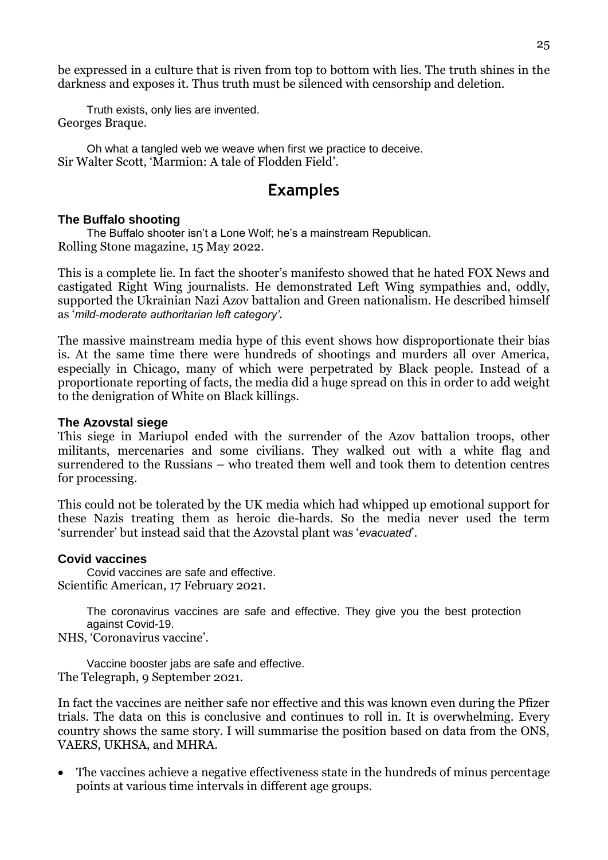be expressed in a culture that is riven from top to bottom with lies. The truth shines in the darkness and exposes it. Thus truth must be silenced with censorship and deletion.

Truth exists, only lies are invented. Georges Braque.

Oh what a tangled web we weave when first we practice to deceive. Sir Walter Scott, 'Marmion: A tale of Flodden Field'.

### **Examples**

#### **The Buffalo shooting**

The Buffalo shooter isn't a Lone Wolf; he's a mainstream Republican. Rolling Stone magazine, 15 May 2022.

This is a complete lie. In fact the shooter's manifesto showed that he hated FOX News and castigated Right Wing journalists. He demonstrated Left Wing sympathies and, oddly, supported the Ukrainian Nazi Azov battalion and Green nationalism. He described himself as '*mild-moderate authoritarian left category'*.

The massive mainstream media hype of this event shows how disproportionate their bias is. At the same time there were hundreds of shootings and murders all over America, especially in Chicago, many of which were perpetrated by Black people. Instead of a proportionate reporting of facts, the media did a huge spread on this in order to add weight to the denigration of White on Black killings.

#### **The Azovstal siege**

This siege in Mariupol ended with the surrender of the Azov battalion troops, other militants, mercenaries and some civilians. They walked out with a white flag and surrendered to the Russians – who treated them well and took them to detention centres for processing.

This could not be tolerated by the UK media which had whipped up emotional support for these Nazis treating them as heroic die-hards. So the media never used the term 'surrender' but instead said that the Azovstal plant was '*evacuated*'.

#### **Covid vaccines**

Covid vaccines are safe and effective. Scientific American, 17 February 2021.

> The coronavirus vaccines are safe and effective. They give you the best protection against Covid-19.

NHS, 'Coronavirus vaccine'.

Vaccine booster jabs are safe and effective. The Telegraph, 9 September 2021.

In fact the vaccines are neither safe nor effective and this was known even during the Pfizer trials. The data on this is conclusive and continues to roll in. It is overwhelming. Every country shows the same story. I will summarise the position based on data from the ONS, VAERS, UKHSA, and MHRA.

 The vaccines achieve a negative effectiveness state in the hundreds of minus percentage points at various time intervals in different age groups.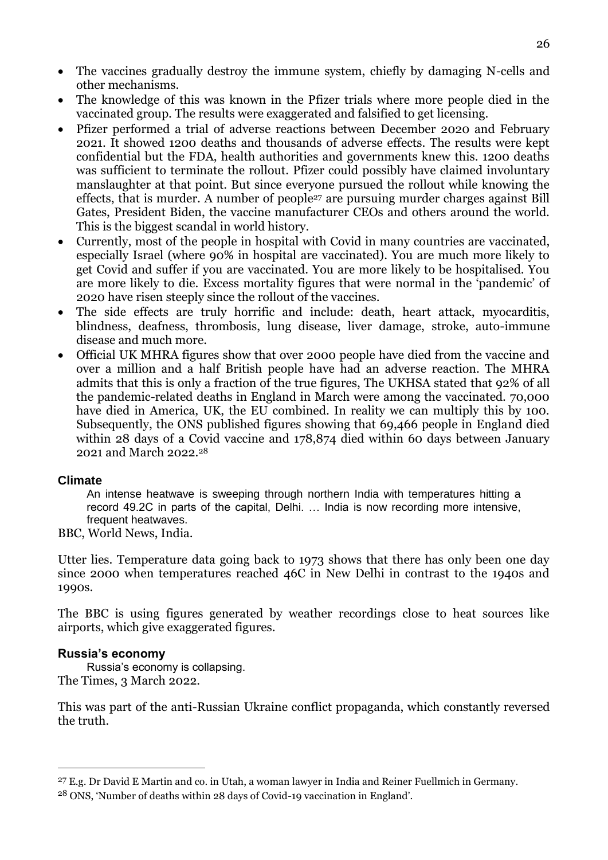- The vaccines gradually destroy the immune system, chiefly by damaging N-cells and other mechanisms.
- The knowledge of this was known in the Pfizer trials where more people died in the vaccinated group. The results were exaggerated and falsified to get licensing.
- Pfizer performed a trial of adverse reactions between December 2020 and February 2021. It showed 1200 deaths and thousands of adverse effects. The results were kept confidential but the FDA, health authorities and governments knew this. 1200 deaths was sufficient to terminate the rollout. Pfizer could possibly have claimed involuntary manslaughter at that point. But since everyone pursued the rollout while knowing the effects, that is murder. A number of people<sup>27</sup> are pursuing murder charges against Bill Gates, President Biden, the vaccine manufacturer CEOs and others around the world. This is the biggest scandal in world history.
- Currently, most of the people in hospital with Covid in many countries are vaccinated, especially Israel (where 90% in hospital are vaccinated). You are much more likely to get Covid and suffer if you are vaccinated. You are more likely to be hospitalised. You are more likely to die. Excess mortality figures that were normal in the 'pandemic' of 2020 have risen steeply since the rollout of the vaccines.
- The side effects are truly horrific and include: death, heart attack, myocarditis, blindness, deafness, thrombosis, lung disease, liver damage, stroke, auto-immune disease and much more.
- Official UK MHRA figures show that over 2000 people have died from the vaccine and over a million and a half British people have had an adverse reaction. The MHRA admits that this is only a fraction of the true figures, The UKHSA stated that 92% of all the pandemic-related deaths in England in March were among the vaccinated. 70,000 have died in America, UK, the EU combined. In reality we can multiply this by 100. Subsequently, the ONS published figures showing that 69,466 people in England died within 28 days of a Covid vaccine and 178,874 died within 60 days between January 2021 and March 2022.<sup>28</sup>

#### **Climate**

An intense heatwave is sweeping through northern India with temperatures hitting a record 49.2C in parts of the capital, Delhi. … India is now recording more intensive, frequent heatwaves.

BBC, World News, India.

Utter lies. Temperature data going back to 1973 shows that there has only been one day since 2000 when temperatures reached 46C in New Delhi in contrast to the 1940s and 1990s.

The BBC is using figures generated by weather recordings close to heat sources like airports, which give exaggerated figures.

#### **Russia's economy**

<u>.</u>

Russia's economy is collapsing. The Times, 3 March 2022.

This was part of the anti-Russian Ukraine conflict propaganda, which constantly reversed the truth.

<sup>27</sup> E.g. Dr David E Martin and co. in Utah, a woman lawyer in India and Reiner Fuellmich in Germany. 28 ONS, 'Number of deaths within 28 days of Covid-19 vaccination in England'.